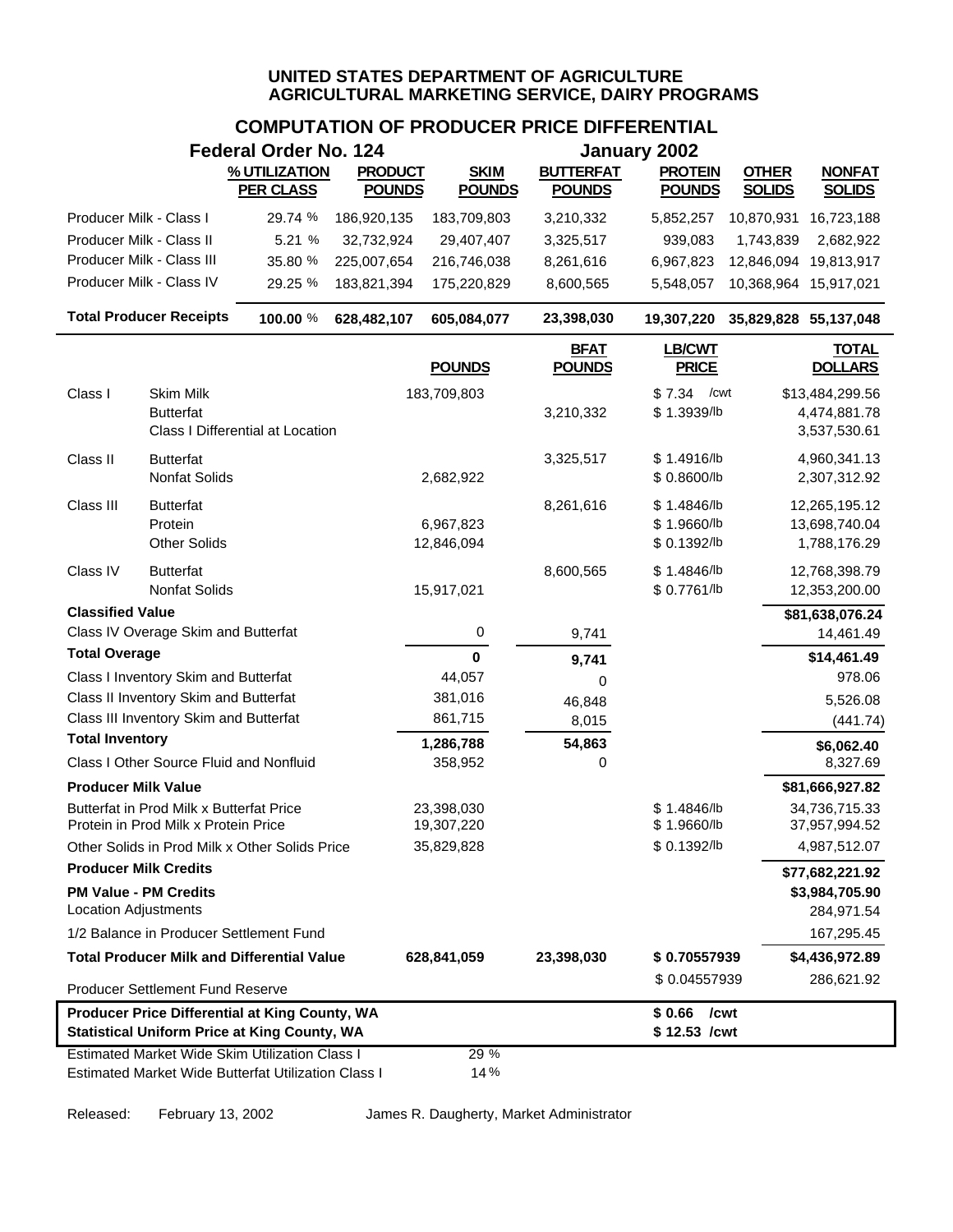# **COMPUTATION OF PRODUCER PRICE DIFFERENTIAL**

|                                                                                                       |                                                                                  | <b>Federal Order No. 124</b>                        |                |                          |                              | January 2002                  |                       |                                |
|-------------------------------------------------------------------------------------------------------|----------------------------------------------------------------------------------|-----------------------------------------------------|----------------|--------------------------|------------------------------|-------------------------------|-----------------------|--------------------------------|
|                                                                                                       |                                                                                  | % UTILIZATION                                       | <b>PRODUCT</b> | <b>SKIM</b>              | <b>BUTTERFAT</b>             | <b>PROTEIN</b>                | <b>OTHER</b>          | <b>NONFAT</b>                  |
|                                                                                                       |                                                                                  | <b>PER CLASS</b>                                    | <b>POUNDS</b>  | <b>POUNDS</b>            | <b>POUNDS</b>                | <b>POUNDS</b>                 | <b>SOLIDS</b>         | <b>SOLIDS</b>                  |
| Producer Milk - Class I                                                                               |                                                                                  | 29.74 %                                             | 186,920,135    | 183,709,803              | 3,210,332                    | 5,852,257                     | 10,870,931            | 16,723,188                     |
| Producer Milk - Class II                                                                              |                                                                                  | 5.21 %                                              | 32,732,924     | 29,407,407               | 3,325,517                    | 939,083                       | 1,743,839             | 2,682,922                      |
|                                                                                                       | Producer Milk - Class III                                                        | 35.80 %                                             | 225,007,654    | 216,746,038              | 8,261,616                    | 6,967,823                     | 12,846,094            | 19,813,917                     |
|                                                                                                       | Producer Milk - Class IV                                                         | 29.25 %                                             | 183,821,394    | 175,220,829              | 8,600,565                    | 5,548,057                     | 10,368,964 15,917,021 |                                |
|                                                                                                       | <b>Total Producer Receipts</b>                                                   | 100.00 %                                            | 628,482,107    | 605,084,077              | 23,398,030                   | 19,307,220                    | 35,829,828 55,137,048 |                                |
|                                                                                                       |                                                                                  |                                                     |                | <b>POUNDS</b>            | <b>BFAT</b><br><b>POUNDS</b> | <b>LB/CWT</b><br><b>PRICE</b> |                       | <b>TOTAL</b><br><b>DOLLARS</b> |
| Class I                                                                                               | Skim Milk                                                                        |                                                     |                | 183,709,803              |                              | \$7.34<br>/cwt                |                       | \$13,484,299.56                |
|                                                                                                       | <b>Butterfat</b>                                                                 | <b>Class I Differential at Location</b>             |                |                          | 3,210,332                    | \$1.3939/lb                   |                       | 4,474,881.78<br>3,537,530.61   |
| Class II                                                                                              | <b>Butterfat</b>                                                                 |                                                     |                |                          | 3,325,517                    | \$1.4916/b                    |                       | 4,960,341.13                   |
|                                                                                                       | Nonfat Solids                                                                    |                                                     |                | 2,682,922                |                              | \$ 0.8600/lb                  |                       | 2,307,312.92                   |
| Class III                                                                                             | <b>Butterfat</b>                                                                 |                                                     |                |                          | 8,261,616                    | \$1.4846/b                    |                       | 12,265,195.12                  |
|                                                                                                       | Protein<br><b>Other Solids</b>                                                   |                                                     |                | 6,967,823                |                              | \$1.9660/b<br>\$ 0.1392/lb    |                       | 13,698,740.04                  |
|                                                                                                       |                                                                                  |                                                     |                | 12,846,094               |                              |                               |                       | 1,788,176.29                   |
| Class IV                                                                                              | <b>Butterfat</b><br>Nonfat Solids                                                |                                                     |                | 15,917,021               | 8,600,565                    | \$1.4846/b<br>\$ 0.7761/lb    |                       | 12,768,398.79<br>12,353,200.00 |
| <b>Classified Value</b>                                                                               |                                                                                  |                                                     |                |                          |                              |                               |                       | \$81,638,076.24                |
|                                                                                                       | Class IV Overage Skim and Butterfat                                              |                                                     |                | 0                        | 9,741                        |                               |                       | 14,461.49                      |
| <b>Total Overage</b>                                                                                  |                                                                                  |                                                     |                | $\mathbf 0$              | 9,741                        |                               |                       | \$14,461.49                    |
|                                                                                                       | Class I Inventory Skim and Butterfat                                             |                                                     |                | 44,057                   | 0                            |                               |                       | 978.06                         |
|                                                                                                       | Class II Inventory Skim and Butterfat                                            |                                                     |                | 381,016                  | 46,848                       |                               |                       | 5,526.08                       |
|                                                                                                       | Class III Inventory Skim and Butterfat                                           |                                                     |                | 861,715                  | 8,015                        |                               |                       | (441.74)                       |
| <b>Total Inventory</b>                                                                                |                                                                                  |                                                     |                | 1,286,788                | 54,863                       |                               |                       | \$6,062.40                     |
|                                                                                                       | Class I Other Source Fluid and Nonfluid                                          |                                                     |                | 358,952                  | 0                            |                               |                       | 8,327.69                       |
| <b>Producer Milk Value</b>                                                                            |                                                                                  |                                                     |                |                          |                              |                               |                       | \$81,666,927.82                |
|                                                                                                       | Butterfat in Prod Milk x Butterfat Price<br>Protein in Prod Milk x Protein Price |                                                     |                | 23,398,030<br>19,307,220 |                              | \$1.4846/b<br>\$1.9660/b      |                       | 34,736,715.33<br>37,957,994.52 |
|                                                                                                       |                                                                                  | Other Solids in Prod Milk x Other Solids Price      |                | 35,829,828               |                              | \$ 0.1392/lb                  |                       | 4,987,512.07                   |
| <b>Producer Milk Credits</b>                                                                          |                                                                                  |                                                     |                |                          |                              |                               |                       | \$77,682,221.92                |
| <b>Location Adjustments</b>                                                                           | <b>PM Value - PM Credits</b>                                                     |                                                     |                |                          |                              |                               |                       | \$3,984,705.90<br>284,971.54   |
|                                                                                                       | 1/2 Balance in Producer Settlement Fund                                          |                                                     |                |                          |                              |                               |                       | 167,295.45                     |
|                                                                                                       |                                                                                  | <b>Total Producer Milk and Differential Value</b>   |                | 628,841,059              | 23,398,030                   | \$0.70557939                  |                       | \$4,436,972.89                 |
|                                                                                                       | Producer Settlement Fund Reserve                                                 |                                                     |                |                          |                              | \$0.04557939                  |                       | 286,621.92                     |
|                                                                                                       |                                                                                  |                                                     |                |                          |                              | \$0.66<br>/cwt                |                       |                                |
| Producer Price Differential at King County, WA<br><b>Statistical Uniform Price at King County, WA</b> |                                                                                  |                                                     |                |                          |                              | \$12.53 /cwt                  |                       |                                |
|                                                                                                       |                                                                                  | Estimated Market Wide Skim Utilization Class I      |                | 29 %                     |                              |                               |                       |                                |
|                                                                                                       |                                                                                  | Estimated Market Wide Butterfat Utilization Class I |                | 14%                      |                              |                               |                       |                                |

Released: February 13, 2002 James R. Daugherty, Market Administrator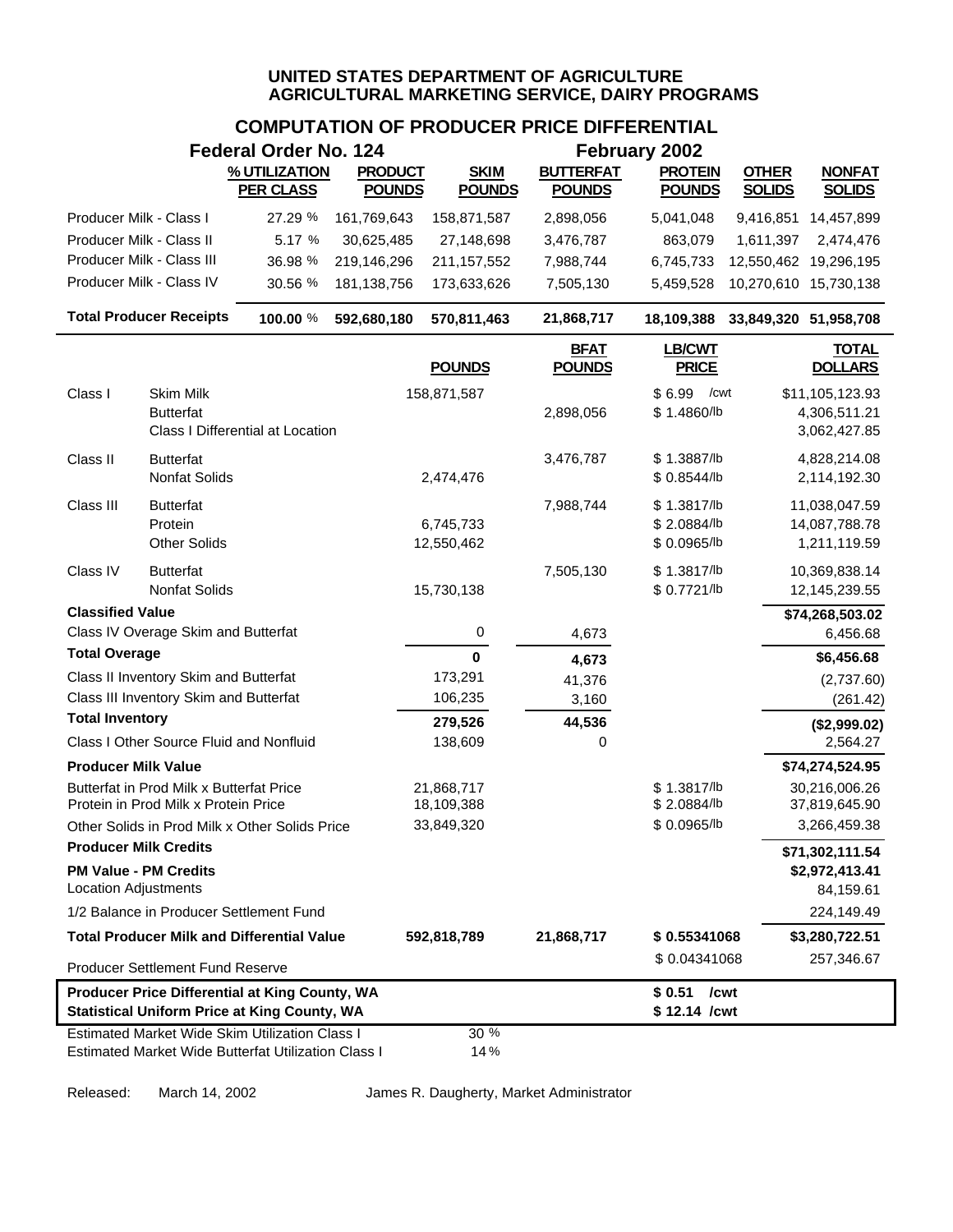# **COMPUTATION OF PRODUCER PRICE DIFFERENTIAL**

|                              |                                                                                  | <b>Federal Order No. 124</b>                                                                          |                                 |                              |                                   | February 2002                   |                               |                                |
|------------------------------|----------------------------------------------------------------------------------|-------------------------------------------------------------------------------------------------------|---------------------------------|------------------------------|-----------------------------------|---------------------------------|-------------------------------|--------------------------------|
|                              |                                                                                  | % UTILIZATION<br><b>PER CLASS</b>                                                                     | <b>PRODUCT</b><br><b>POUNDS</b> | <b>SKIM</b><br><b>POUNDS</b> | <b>BUTTERFAT</b><br><b>POUNDS</b> | <b>PROTEIN</b><br><b>POUNDS</b> | <b>OTHER</b><br><b>SOLIDS</b> | <b>NONFAT</b><br><b>SOLIDS</b> |
| Producer Milk - Class I      |                                                                                  | 27.29 %                                                                                               | 161,769,643                     | 158,871,587                  | 2,898,056                         | 5,041,048                       | 9,416,851                     | 14,457,899                     |
| Producer Milk - Class II     |                                                                                  | 5.17 %                                                                                                | 30,625,485                      | 27,148,698                   | 3,476,787                         | 863,079                         | 1,611,397                     | 2,474,476                      |
|                              | Producer Milk - Class III                                                        | 36.98 %                                                                                               | 219,146,296                     | 211, 157, 552                | 7,988,744                         | 6,745,733                       |                               | 12,550,462 19,296,195          |
|                              | Producer Milk - Class IV                                                         | 30.56 %                                                                                               | 181, 138, 756                   | 173,633,626                  | 7,505,130                         | 5,459,528                       | 10,270,610 15,730,138         |                                |
|                              | <b>Total Producer Receipts</b>                                                   | 100.00 %                                                                                              | 592,680,180                     | 570,811,463                  | 21,868,717                        | 18,109,388                      | 33,849,320 51,958,708         |                                |
|                              |                                                                                  |                                                                                                       |                                 | <b>POUNDS</b>                | <b>BFAT</b><br><b>POUNDS</b>      | <b>LB/CWT</b><br><b>PRICE</b>   |                               | <b>TOTAL</b><br><b>DOLLARS</b> |
| Class I                      | Skim Milk                                                                        |                                                                                                       |                                 | 158,871,587                  |                                   | \$6.99<br>/cwt                  |                               | \$11,105,123.93                |
|                              | <b>Butterfat</b>                                                                 | Class I Differential at Location                                                                      |                                 |                              | 2,898,056                         | \$1.4860/lb                     |                               | 4,306,511.21<br>3,062,427.85   |
| Class II                     | <b>Butterfat</b>                                                                 |                                                                                                       |                                 |                              | 3,476,787                         | \$1.3887/b                      |                               | 4,828,214.08                   |
|                              | Nonfat Solids                                                                    |                                                                                                       |                                 | 2,474,476                    |                                   | \$0.8544/b                      |                               | 2,114,192.30                   |
| Class III                    | <b>Butterfat</b>                                                                 |                                                                                                       |                                 |                              | 7,988,744                         | \$1.3817/lb                     |                               | 11,038,047.59                  |
|                              | Protein                                                                          |                                                                                                       |                                 | 6,745,733                    |                                   | \$2.0884/lb                     |                               | 14,087,788.78                  |
|                              | <b>Other Solids</b>                                                              |                                                                                                       |                                 | 12,550,462                   |                                   | \$ 0.0965/lb                    |                               | 1,211,119.59                   |
| Class IV                     | <b>Butterfat</b>                                                                 |                                                                                                       |                                 |                              | 7,505,130                         | \$1.3817/lb                     |                               | 10,369,838.14                  |
|                              | Nonfat Solids                                                                    |                                                                                                       |                                 | 15,730,138                   |                                   | \$ 0.7721/lb                    |                               | 12,145,239.55                  |
| <b>Classified Value</b>      |                                                                                  |                                                                                                       |                                 |                              |                                   |                                 |                               | \$74,268,503.02                |
|                              | Class IV Overage Skim and Butterfat                                              |                                                                                                       |                                 | 0                            | 4,673                             |                                 |                               | 6,456.68                       |
| <b>Total Overage</b>         |                                                                                  |                                                                                                       |                                 | $\mathbf 0$                  | 4,673                             |                                 |                               | \$6,456.68                     |
|                              | Class II Inventory Skim and Butterfat                                            |                                                                                                       |                                 | 173,291                      | 41,376                            |                                 |                               | (2,737.60)                     |
| <b>Total Inventory</b>       | Class III Inventory Skim and Butterfat                                           |                                                                                                       |                                 | 106,235                      | 3,160                             |                                 |                               | (261.42)                       |
|                              |                                                                                  |                                                                                                       |                                 | 279,526                      | 44,536                            |                                 |                               | (\$2,999.02)                   |
|                              | Class I Other Source Fluid and Nonfluid                                          |                                                                                                       |                                 | 138,609                      | 0                                 |                                 |                               | 2,564.27                       |
| <b>Producer Milk Value</b>   |                                                                                  |                                                                                                       |                                 |                              |                                   |                                 |                               | \$74,274,524.95                |
|                              | Butterfat in Prod Milk x Butterfat Price<br>Protein in Prod Milk x Protein Price |                                                                                                       |                                 | 21,868,717<br>18,109,388     |                                   | \$1.3817/lb<br>\$2.0884/lb      |                               | 30,216,006.26<br>37,819,645.90 |
|                              |                                                                                  | Other Solids in Prod Milk x Other Solids Price                                                        |                                 | 33,849,320                   |                                   | \$0.0965/b                      |                               | 3,266,459.38                   |
| <b>Producer Milk Credits</b> |                                                                                  |                                                                                                       |                                 |                              |                                   |                                 |                               | \$71,302,111.54                |
| <b>PM Value - PM Credits</b> |                                                                                  |                                                                                                       |                                 |                              |                                   |                                 |                               | \$2,972,413.41                 |
| <b>Location Adjustments</b>  |                                                                                  |                                                                                                       |                                 |                              |                                   |                                 |                               | 84,159.61                      |
|                              | 1/2 Balance in Producer Settlement Fund                                          |                                                                                                       |                                 |                              |                                   |                                 |                               | 224,149.49                     |
|                              |                                                                                  | <b>Total Producer Milk and Differential Value</b>                                                     |                                 | 592,818,789                  | 21,868,717                        | \$0.55341068                    |                               | \$3,280,722.51                 |
|                              | Producer Settlement Fund Reserve                                                 |                                                                                                       |                                 |                              |                                   | \$0.04341068                    |                               | 257,346.67                     |
|                              |                                                                                  | Producer Price Differential at King County, WA<br><b>Statistical Uniform Price at King County, WA</b> |                                 |                              |                                   | $$0.51$ /cwt<br>\$12.14 / cwt   |                               |                                |
|                              |                                                                                  | <b>Estimated Market Wide Skim Utilization Class I</b>                                                 |                                 | 30 %                         |                                   |                                 |                               |                                |
|                              |                                                                                  | Estimated Market Wide Butterfat Utilization Class I                                                   |                                 | 14%                          |                                   |                                 |                               |                                |

Released: March 14, 2002 James R. Daugherty, Market Administrator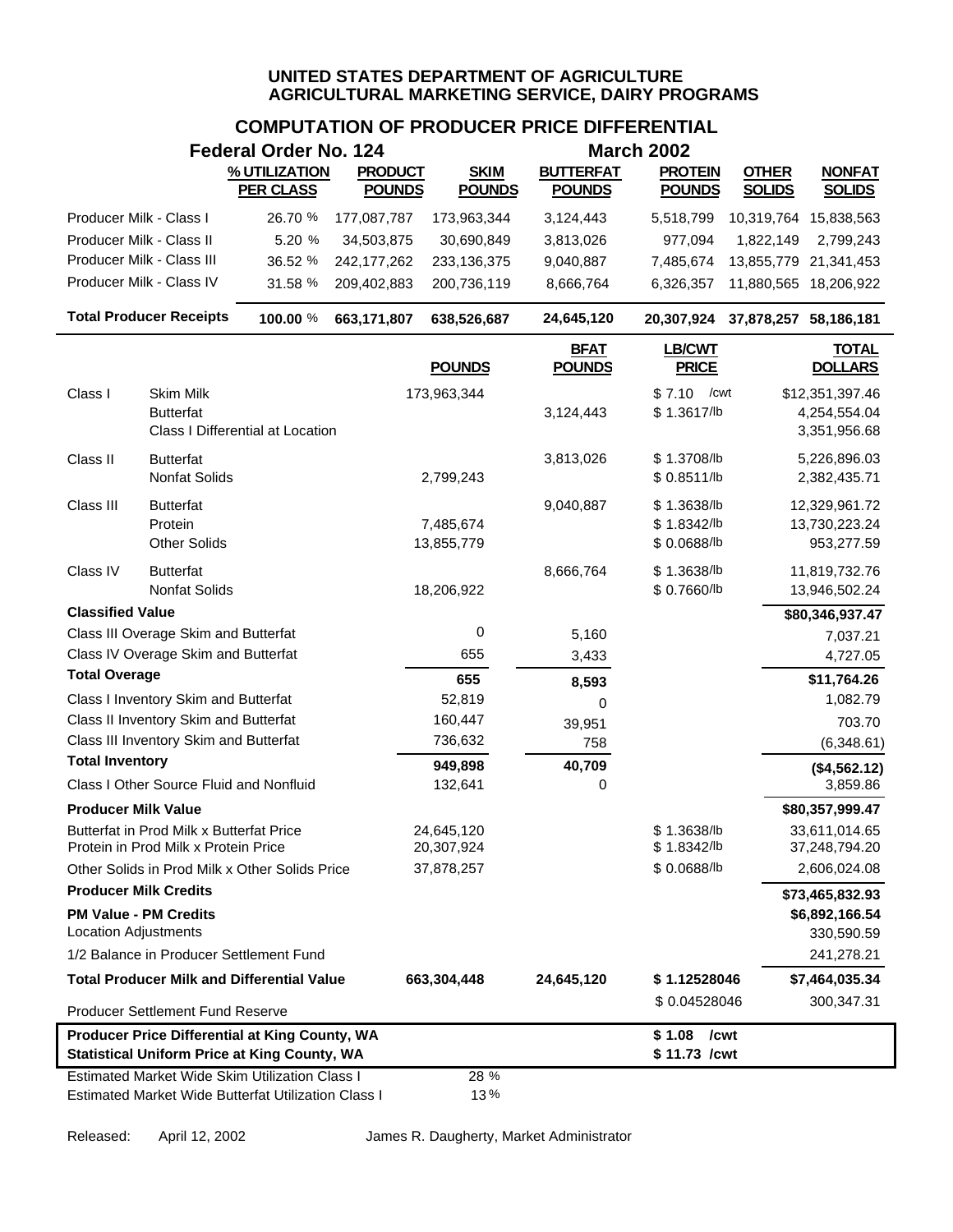|                                                             |                                                                                  | <b>Federal Order No. 124</b>                                                                                 |                                 |                              |                                   | <b>March 2002</b>                        |                               |                                                 |
|-------------------------------------------------------------|----------------------------------------------------------------------------------|--------------------------------------------------------------------------------------------------------------|---------------------------------|------------------------------|-----------------------------------|------------------------------------------|-------------------------------|-------------------------------------------------|
|                                                             |                                                                                  | % UTILIZATION<br><b>PER CLASS</b>                                                                            | <b>PRODUCT</b><br><b>POUNDS</b> | <b>SKIM</b><br><b>POUNDS</b> | <b>BUTTERFAT</b><br><b>POUNDS</b> | <b>PROTEIN</b><br><b>POUNDS</b>          | <b>OTHER</b><br><b>SOLIDS</b> | <b>NONFAT</b><br><b>SOLIDS</b>                  |
| Producer Milk - Class I                                     |                                                                                  | 26.70 %                                                                                                      | 177,087,787                     | 173,963,344                  | 3,124,443                         | 5,518,799                                | 10,319,764 15,838,563         |                                                 |
| Producer Milk - Class II                                    |                                                                                  | 5.20 %                                                                                                       | 34,503,875                      | 30,690,849                   | 3,813,026                         | 977,094                                  | 1,822,149                     | 2,799,243                                       |
|                                                             | Producer Milk - Class III                                                        | 36.52 %                                                                                                      | 242, 177, 262                   | 233,136,375                  | 9,040,887                         | 7,485,674                                | 13,855,779 21,341,453         |                                                 |
|                                                             | Producer Milk - Class IV                                                         | 31.58 %                                                                                                      | 209,402,883                     | 200,736,119                  | 8,666,764                         | 6,326,357                                |                               | 11,880,565 18,206,922                           |
|                                                             | <b>Total Producer Receipts</b>                                                   | 100.00 %                                                                                                     | 663,171,807                     | 638,526,687                  | 24,645,120                        | 20,307,924                               | 37,878,257 58,186,181         |                                                 |
|                                                             |                                                                                  |                                                                                                              |                                 | <b>POUNDS</b>                | <b>BFAT</b><br><b>POUNDS</b>      | <b>LB/CWT</b><br><b>PRICE</b>            |                               | <b>TOTAL</b><br><b>DOLLARS</b>                  |
| Class I                                                     | Skim Milk<br><b>Butterfat</b>                                                    | Class I Differential at Location                                                                             |                                 | 173,963,344                  | 3,124,443                         | \$7.10<br>/cwt<br>\$1.3617/b             |                               | \$12,351,397.46<br>4,254,554.04<br>3,351,956.68 |
| Class II                                                    | <b>Butterfat</b><br>Nonfat Solids                                                |                                                                                                              |                                 | 2,799,243                    | 3,813,026                         | \$1.3708/lb<br>\$0.8511/b                |                               | 5,226,896.03<br>2,382,435.71                    |
| Class III                                                   | <b>Butterfat</b><br>Protein<br><b>Other Solids</b>                               |                                                                                                              |                                 | 7,485,674<br>13,855,779      | 9,040,887                         | \$1.3638/b<br>\$1.8342/lb<br>\$0.0688/lb |                               | 12,329,961.72<br>13,730,223.24<br>953,277.59    |
| Class IV                                                    | <b>Butterfat</b><br><b>Nonfat Solids</b>                                         |                                                                                                              |                                 | 18,206,922                   | 8,666,764                         | \$1.3638/lb<br>\$0.7660/lb               |                               | 11,819,732.76<br>13,946,502.24                  |
| <b>Classified Value</b>                                     |                                                                                  |                                                                                                              |                                 |                              |                                   |                                          |                               | \$80,346,937.47                                 |
|                                                             | Class III Overage Skim and Butterfat                                             |                                                                                                              |                                 | 0                            | 5,160                             |                                          |                               | 7,037.21                                        |
|                                                             | Class IV Overage Skim and Butterfat                                              |                                                                                                              |                                 | 655                          | 3,433                             |                                          |                               | 4,727.05                                        |
| <b>Total Overage</b>                                        |                                                                                  |                                                                                                              |                                 | 655                          | 8,593                             |                                          |                               | \$11,764.26                                     |
|                                                             | Class I Inventory Skim and Butterfat<br>Class II Inventory Skim and Butterfat    |                                                                                                              |                                 | 52,819                       | 0                                 |                                          |                               | 1,082.79                                        |
|                                                             | Class III Inventory Skim and Butterfat                                           |                                                                                                              |                                 | 160,447<br>736,632           | 39,951<br>758                     |                                          |                               | 703.70<br>(6,348.61)                            |
| <b>Total Inventory</b>                                      |                                                                                  |                                                                                                              |                                 | 949,898                      | 40,709                            |                                          |                               |                                                 |
|                                                             | Class I Other Source Fluid and Nonfluid                                          |                                                                                                              |                                 | 132,641                      | 0                                 |                                          |                               | (\$4,562.12)<br>3,859.86                        |
| <b>Producer Milk Value</b>                                  |                                                                                  |                                                                                                              |                                 |                              |                                   |                                          |                               | \$80,357,999.47                                 |
|                                                             | Butterfat in Prod Milk x Butterfat Price<br>Protein in Prod Milk x Protein Price |                                                                                                              |                                 | 24,645,120<br>20,307,924     |                                   | \$1.3638/lb<br>\$1.8342/lb               |                               | 33,611,014.65<br>37,248,794.20                  |
|                                                             |                                                                                  | Other Solids in Prod Milk x Other Solids Price                                                               |                                 | 37,878,257                   |                                   | \$0.0688/lb                              |                               | 2,606,024.08                                    |
| <b>Producer Milk Credits</b>                                |                                                                                  |                                                                                                              |                                 |                              |                                   |                                          |                               |                                                 |
| <b>PM Value - PM Credits</b><br><b>Location Adjustments</b> |                                                                                  |                                                                                                              |                                 |                              |                                   |                                          |                               | \$73,465,832.93<br>\$6,892,166.54<br>330,590.59 |
|                                                             |                                                                                  | 1/2 Balance in Producer Settlement Fund                                                                      |                                 |                              |                                   |                                          |                               | 241,278.21                                      |
|                                                             |                                                                                  | <b>Total Producer Milk and Differential Value</b>                                                            |                                 | 663,304,448                  | 24,645,120                        | \$1.12528046                             |                               | \$7,464,035.34                                  |
|                                                             | Producer Settlement Fund Reserve                                                 |                                                                                                              |                                 |                              |                                   | \$0.04528046                             |                               | 300,347.31                                      |
|                                                             |                                                                                  | <b>Producer Price Differential at King County, WA</b><br><b>Statistical Uniform Price at King County, WA</b> |                                 |                              |                                   | $$1.08$ / cwt<br>\$11.73 /cwt            |                               |                                                 |
|                                                             |                                                                                  | <b>Estimated Market Wide Skim Utilization Class I</b><br>Estimated Market Wide Butterfat Utilization Class I |                                 | 28 %<br>13%                  |                                   |                                          |                               |                                                 |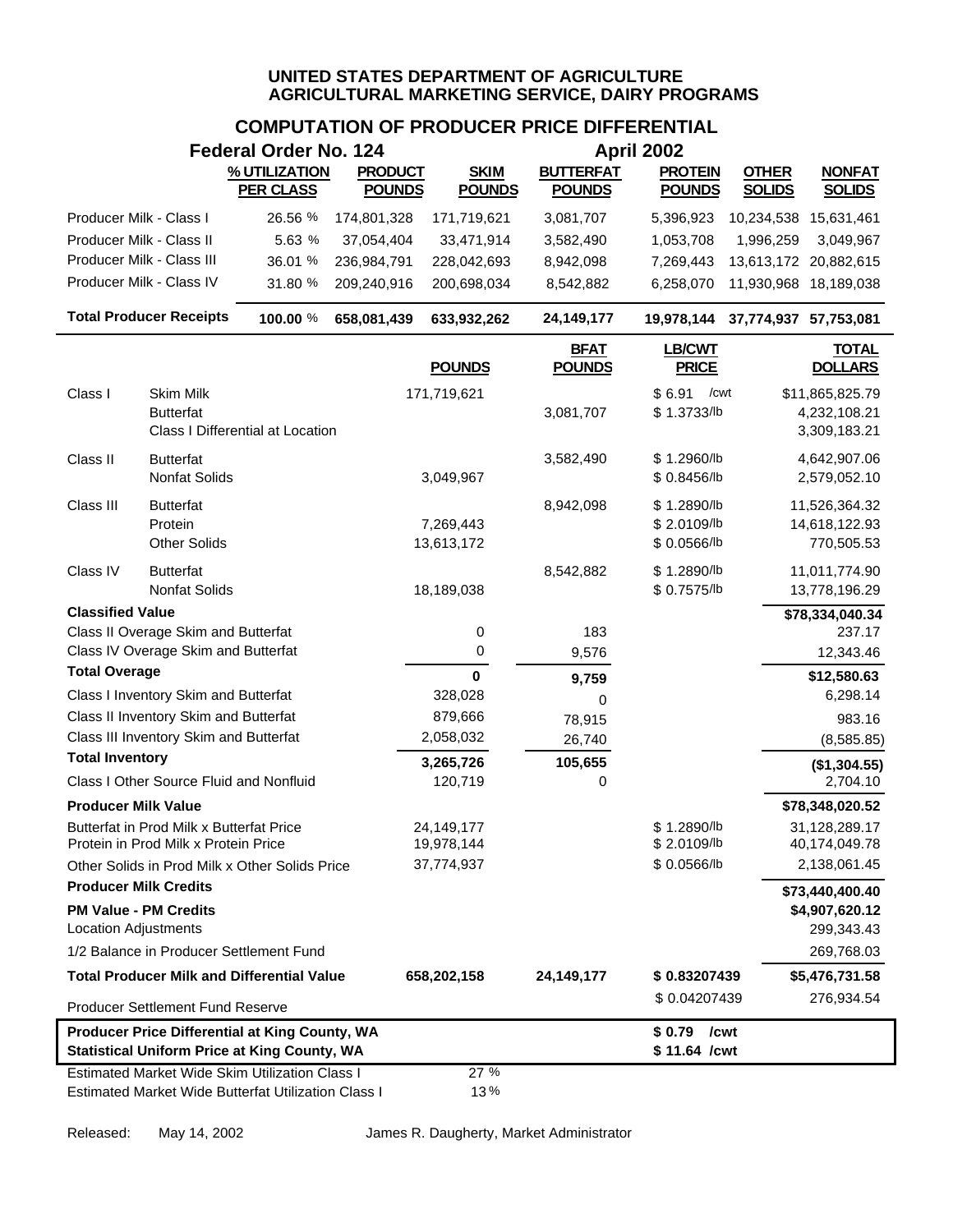# **COMPUTATION OF PRODUCER PRICE DIFFERENTIAL**

|                                                                                                                                                  |                                                                               | <b>Federal Order No. 124</b>     |                |                         |                              | <b>April 2002</b>                         |                                  |                                                 |  |  |
|--------------------------------------------------------------------------------------------------------------------------------------------------|-------------------------------------------------------------------------------|----------------------------------|----------------|-------------------------|------------------------------|-------------------------------------------|----------------------------------|-------------------------------------------------|--|--|
|                                                                                                                                                  |                                                                               | % UTILIZATION                    | <b>PRODUCT</b> | <b>SKIM</b>             | <b>BUTTERFAT</b>             | <b>PROTEIN</b>                            | <b>OTHER</b>                     | <b>NONFAT</b>                                   |  |  |
|                                                                                                                                                  |                                                                               | <b>PER CLASS</b>                 | <b>POUNDS</b>  | <b>POUNDS</b>           | <b>POUNDS</b>                | <b>POUNDS</b>                             | <b>SOLIDS</b>                    | <b>SOLIDS</b>                                   |  |  |
| Producer Milk - Class I                                                                                                                          |                                                                               | 26.56 %                          | 174,801,328    | 171,719,621             | 3,081,707                    | 5,396,923                                 | 10,234,538                       | 15,631,461                                      |  |  |
| Producer Milk - Class II                                                                                                                         |                                                                               | 5.63 %                           | 37,054,404     | 33,471,914              | 3,582,490                    | 1,053,708                                 | 1,996,259                        | 3,049,967                                       |  |  |
|                                                                                                                                                  | Producer Milk - Class III                                                     | 36.01 %                          | 236,984,791    | 228,042,693             | 8,942,098                    | 7,269,443                                 |                                  | 13,613,172 20,882,615                           |  |  |
|                                                                                                                                                  | Producer Milk - Class IV                                                      | 31.80 %                          | 209,240,916    | 200,698,034             | 8,542,882                    | 6,258,070                                 |                                  | 11,930,968 18,189,038                           |  |  |
|                                                                                                                                                  | <b>Total Producer Receipts</b>                                                | 100.00 %                         | 658,081,439    | 633,932,262             | 24, 149, 177                 |                                           | 19,978,144 37,774,937 57,753,081 |                                                 |  |  |
|                                                                                                                                                  |                                                                               |                                  |                | <b>POUNDS</b>           | <b>BFAT</b><br><b>POUNDS</b> | <b>LB/CWT</b><br><b>PRICE</b>             |                                  | <b>TOTAL</b><br><b>DOLLARS</b>                  |  |  |
| Class I                                                                                                                                          | <b>Skim Milk</b><br><b>Butterfat</b>                                          | Class I Differential at Location |                | 171,719,621             | 3,081,707                    | \$6.91<br>/cwt<br>\$1.3733/lb             |                                  | \$11,865,825.79<br>4,232,108.21<br>3,309,183.21 |  |  |
| Class II                                                                                                                                         | <b>Butterfat</b><br>Nonfat Solids                                             |                                  |                | 3,049,967               | 3,582,490                    | \$1.2960/b<br>\$0.8456/b                  |                                  | 4,642,907.06<br>2,579,052.10                    |  |  |
| Class III                                                                                                                                        | <b>Butterfat</b><br>Protein<br><b>Other Solids</b>                            |                                  |                | 7,269,443<br>13,613,172 | 8,942,098                    | \$1.2890/lb<br>\$2.0109/b<br>\$ 0.0566/lb |                                  | 11,526,364.32<br>14,618,122.93<br>770,505.53    |  |  |
| Class IV                                                                                                                                         | <b>Butterfat</b><br><b>Nonfat Solids</b>                                      |                                  |                | 18,189,038              | 8,542,882                    | \$1.2890/lb<br>\$ 0.7575/lb               |                                  | 11,011,774.90<br>13,778,196.29                  |  |  |
| <b>Classified Value</b>                                                                                                                          |                                                                               |                                  |                |                         |                              |                                           |                                  | \$78,334,040.34                                 |  |  |
|                                                                                                                                                  | Class II Overage Skim and Butterfat                                           |                                  |                | 0                       | 183                          |                                           |                                  | 237.17                                          |  |  |
|                                                                                                                                                  | Class IV Overage Skim and Butterfat                                           |                                  |                | 0                       | 9,576                        |                                           |                                  | 12,343.46                                       |  |  |
| <b>Total Overage</b>                                                                                                                             |                                                                               |                                  |                | $\mathbf 0$             | 9,759                        |                                           |                                  | \$12,580.63                                     |  |  |
|                                                                                                                                                  | Class I Inventory Skim and Butterfat<br>Class II Inventory Skim and Butterfat |                                  |                | 328,028<br>879,666      | 0                            |                                           |                                  | 6,298.14                                        |  |  |
|                                                                                                                                                  | Class III Inventory Skim and Butterfat                                        |                                  |                | 2,058,032               | 78,915<br>26,740             |                                           |                                  | 983.16<br>(8,585.85)                            |  |  |
| <b>Total Inventory</b>                                                                                                                           |                                                                               |                                  |                | 3,265,726               | 105,655                      |                                           |                                  |                                                 |  |  |
|                                                                                                                                                  | Class I Other Source Fluid and Nonfluid                                       |                                  |                | 120,719                 | 0                            |                                           |                                  | (\$1,304.55)<br>2,704.10                        |  |  |
| <b>Producer Milk Value</b>                                                                                                                       |                                                                               |                                  |                |                         |                              |                                           |                                  | \$78,348,020.52                                 |  |  |
|                                                                                                                                                  | Butterfat in Prod Milk x Butterfat Price                                      |                                  |                | 24, 149, 177            |                              | \$1.2890/lb                               |                                  | 31,128,289.17                                   |  |  |
|                                                                                                                                                  | Protein in Prod Milk x Protein Price                                          |                                  |                | 19,978,144              |                              | \$2.0109/lb                               |                                  | 40,174,049.78                                   |  |  |
|                                                                                                                                                  | Other Solids in Prod Milk x Other Solids Price                                |                                  |                | 37,774,937              |                              | \$0.0566/lb                               |                                  | 2,138,061.45                                    |  |  |
| <b>Producer Milk Credits</b>                                                                                                                     |                                                                               |                                  |                |                         |                              |                                           |                                  | \$73,440,400.40                                 |  |  |
| <b>Location Adjustments</b>                                                                                                                      | <b>PM Value - PM Credits</b>                                                  |                                  |                |                         |                              |                                           |                                  | \$4,907,620.12<br>299,343.43                    |  |  |
|                                                                                                                                                  | 1/2 Balance in Producer Settlement Fund                                       |                                  |                |                         |                              |                                           |                                  | 269,768.03                                      |  |  |
|                                                                                                                                                  | <b>Total Producer Milk and Differential Value</b>                             |                                  |                | 658,202,158             | 24,149,177                   | \$0.83207439                              |                                  | \$5,476,731.58                                  |  |  |
|                                                                                                                                                  |                                                                               |                                  |                |                         |                              | \$0.04207439                              |                                  | 276,934.54                                      |  |  |
| <b>Producer Settlement Fund Reserve</b><br>Producer Price Differential at King County, WA<br><b>Statistical Uniform Price at King County, WA</b> |                                                                               |                                  |                |                         |                              | \$0.79<br>/cwt<br>\$11.64 /cwt            |                                  |                                                 |  |  |
|                                                                                                                                                  | <b>Estimated Market Wide Skim Utilization Class I</b>                         |                                  |                | 27 %                    |                              |                                           |                                  |                                                 |  |  |
|                                                                                                                                                  | Estimated Market Wide Butterfat Utilization Class I                           |                                  |                | 13%                     |                              |                                           |                                  |                                                 |  |  |

Released: May 14, 2002 James R. Daugherty, Market Administrator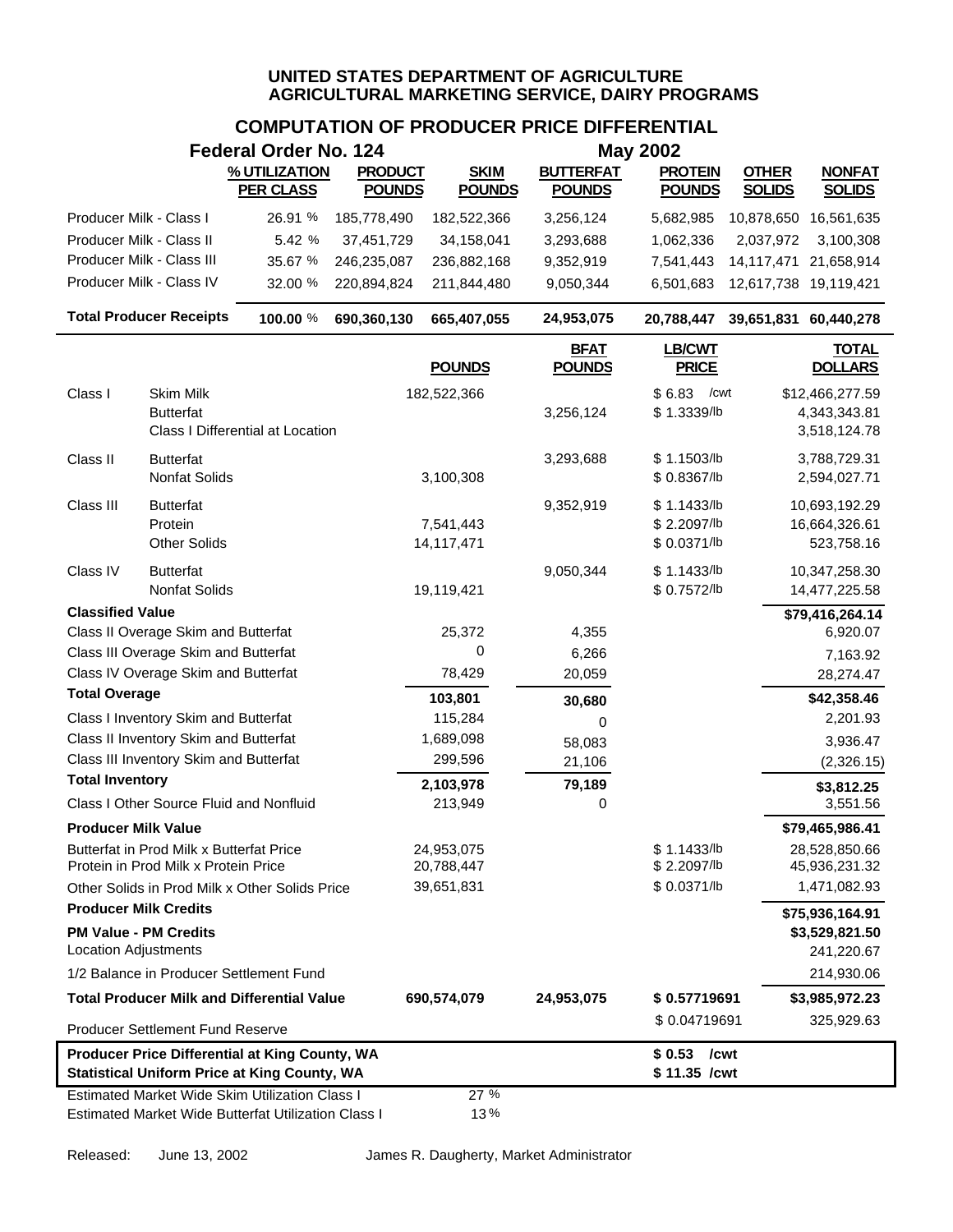|                                                                                                       |                                                                                  | <b>Federal Order No. 124</b>                                                                                        |                |                          |                              | <b>May 2002</b>                           |                       |                                                 |
|-------------------------------------------------------------------------------------------------------|----------------------------------------------------------------------------------|---------------------------------------------------------------------------------------------------------------------|----------------|--------------------------|------------------------------|-------------------------------------------|-----------------------|-------------------------------------------------|
|                                                                                                       |                                                                                  | % UTILIZATION                                                                                                       | <b>PRODUCT</b> | <b>SKIM</b>              | <b>BUTTERFAT</b>             | <b>PROTEIN</b>                            | <b>OTHER</b>          | <b>NONFAT</b>                                   |
|                                                                                                       |                                                                                  | <b>PER CLASS</b>                                                                                                    | <b>POUNDS</b>  | <b>POUNDS</b>            | <b>POUNDS</b>                | <b>POUNDS</b>                             | <b>SOLIDS</b>         | <b>SOLIDS</b>                                   |
| Producer Milk - Class I                                                                               |                                                                                  | 26.91 %                                                                                                             | 185,778,490    | 182,522,366              | 3,256,124                    | 5,682,985                                 |                       | 10,878,650 16,561,635                           |
| Producer Milk - Class II                                                                              |                                                                                  | 5.42 %                                                                                                              | 37,451,729     | 34,158,041               | 3,293,688                    | 1,062,336                                 | 2,037,972             | 3,100,308                                       |
|                                                                                                       | Producer Milk - Class III                                                        | 35.67 %                                                                                                             | 246,235,087    | 236,882,168              | 9,352,919                    | 7,541,443                                 | 14,117,471            | 21,658,914                                      |
|                                                                                                       | Producer Milk - Class IV                                                         | 32.00 %                                                                                                             | 220,894,824    | 211,844,480              | 9,050,344                    | 6,501,683                                 | 12,617,738 19,119,421 |                                                 |
|                                                                                                       | <b>Total Producer Receipts</b>                                                   | 100.00 %                                                                                                            | 690,360,130    | 665,407,055              | 24,953,075                   | 20,788,447                                | 39,651,831 60,440,278 |                                                 |
|                                                                                                       |                                                                                  |                                                                                                                     |                | <b>POUNDS</b>            | <b>BFAT</b><br><b>POUNDS</b> | <b>LB/CWT</b><br><b>PRICE</b>             |                       | <b>TOTAL</b><br><b>DOLLARS</b>                  |
| Class I                                                                                               | Skim Milk<br><b>Butterfat</b>                                                    | Class I Differential at Location                                                                                    |                | 182,522,366              | 3,256,124                    | \$6.83<br>/cwt<br>\$1.3339/lb             |                       | \$12,466,277.59<br>4,343,343.81<br>3,518,124.78 |
| Class II                                                                                              | <b>Butterfat</b><br>Nonfat Solids                                                |                                                                                                                     |                | 3,100,308                | 3,293,688                    | \$1.1503/b<br>\$0.8367/lb                 |                       | 3,788,729.31<br>2,594,027.71                    |
| Class III                                                                                             | <b>Butterfat</b><br>Protein<br><b>Other Solids</b>                               |                                                                                                                     |                | 7,541,443<br>14,117,471  | 9,352,919                    | \$1.1433/b<br>\$2.2097/lb<br>\$ 0.0371/lb |                       | 10,693,192.29<br>16,664,326.61<br>523,758.16    |
| Class IV                                                                                              | <b>Butterfat</b><br><b>Nonfat Solids</b>                                         |                                                                                                                     |                | 19,119,421               | 9,050,344                    | \$1.1433/b<br>\$ 0.7572/lb                |                       | 10,347,258.30<br>14,477,225.58                  |
| <b>Classified Value</b>                                                                               |                                                                                  |                                                                                                                     |                |                          |                              |                                           |                       | \$79,416,264.14                                 |
|                                                                                                       | Class II Overage Skim and Butterfat                                              |                                                                                                                     |                | 25,372                   | 4,355                        |                                           |                       | 6,920.07                                        |
|                                                                                                       | Class III Overage Skim and Butterfat                                             |                                                                                                                     |                | 0                        | 6,266                        |                                           |                       | 7,163.92                                        |
| <b>Total Overage</b>                                                                                  | Class IV Overage Skim and Butterfat                                              |                                                                                                                     |                | 78,429                   | 20,059                       |                                           |                       | 28,274.47                                       |
|                                                                                                       | Class I Inventory Skim and Butterfat                                             |                                                                                                                     |                | 103,801<br>115,284       | 30,680                       |                                           |                       | \$42,358.46<br>2,201.93                         |
|                                                                                                       | Class II Inventory Skim and Butterfat                                            |                                                                                                                     |                | 1,689,098                | 0                            |                                           |                       |                                                 |
|                                                                                                       | Class III Inventory Skim and Butterfat                                           |                                                                                                                     |                | 299,596                  | 58,083<br>21,106             |                                           |                       | 3,936.47<br>(2,326.15)                          |
| <b>Total Inventory</b>                                                                                |                                                                                  |                                                                                                                     |                | 2,103,978                | 79,189                       |                                           |                       |                                                 |
|                                                                                                       | Class I Other Source Fluid and Nonfluid                                          |                                                                                                                     |                | 213,949                  | 0                            |                                           |                       | \$3,812.25<br>3,551.56                          |
| <b>Producer Milk Value</b>                                                                            |                                                                                  |                                                                                                                     |                |                          |                              |                                           |                       | \$79,465,986.41                                 |
|                                                                                                       | Butterfat in Prod Milk x Butterfat Price<br>Protein in Prod Milk x Protein Price |                                                                                                                     |                | 24,953,075<br>20,788,447 |                              | \$1.1433/b<br>\$2.2097/lb                 |                       | 28,528,850.66<br>45,936,231.32                  |
|                                                                                                       |                                                                                  | Other Solids in Prod Milk x Other Solids Price                                                                      |                | 39,651,831               |                              | \$0.0371/b                                |                       | 1,471,082.93                                    |
| <b>Producer Milk Credits</b>                                                                          |                                                                                  |                                                                                                                     |                |                          |                              |                                           |                       | \$75,936,164.91                                 |
| <b>PM Value - PM Credits</b><br><b>Location Adjustments</b>                                           |                                                                                  |                                                                                                                     |                |                          |                              |                                           |                       | \$3,529,821.50<br>241,220.67                    |
|                                                                                                       |                                                                                  | 1/2 Balance in Producer Settlement Fund                                                                             |                |                          |                              |                                           |                       | 214,930.06                                      |
|                                                                                                       |                                                                                  | <b>Total Producer Milk and Differential Value</b>                                                                   |                | 690,574,079              | 24,953,075                   | \$0.57719691                              |                       | \$3,985,972.23                                  |
|                                                                                                       | Producer Settlement Fund Reserve                                                 |                                                                                                                     |                |                          |                              | \$0.04719691                              |                       | 325,929.63                                      |
| Producer Price Differential at King County, WA<br><b>Statistical Uniform Price at King County, WA</b> |                                                                                  |                                                                                                                     |                |                          |                              | $$0.53$ /cwt<br>\$11.35 /cwt              |                       |                                                 |
|                                                                                                       |                                                                                  | <b>Estimated Market Wide Skim Utilization Class I</b><br><b>Estimated Market Wide Butterfat Utilization Class I</b> |                | 27 %<br>13%              |                              |                                           |                       |                                                 |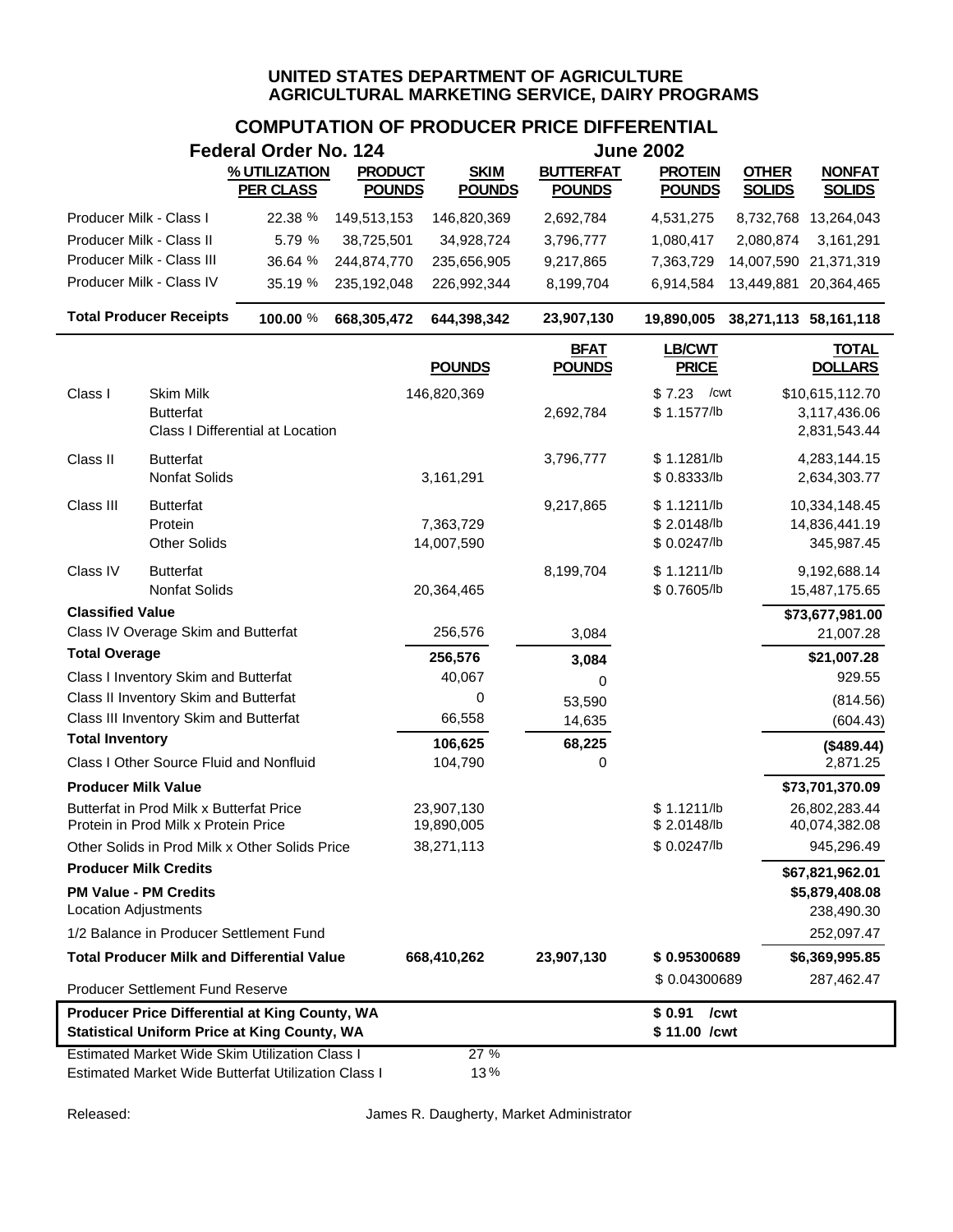# **COMPUTATION OF PRODUCER PRICE DIFFERENTIAL**

| <b>Federal Order No. 124</b>                         |                                                                                  |                                                                                                              |                                 | <b>June 2002</b>             |                                   |                                          |                               |                                                 |
|------------------------------------------------------|----------------------------------------------------------------------------------|--------------------------------------------------------------------------------------------------------------|---------------------------------|------------------------------|-----------------------------------|------------------------------------------|-------------------------------|-------------------------------------------------|
|                                                      |                                                                                  | % UTILIZATION<br><b>PER CLASS</b>                                                                            | <b>PRODUCT</b><br><b>POUNDS</b> | <b>SKIM</b><br><b>POUNDS</b> | <b>BUTTERFAT</b><br><b>POUNDS</b> | <b>PROTEIN</b><br><b>POUNDS</b>          | <b>OTHER</b><br><b>SOLIDS</b> | <b>NONFAT</b><br><b>SOLIDS</b>                  |
| Producer Milk - Class I                              |                                                                                  | 22.38 %                                                                                                      | 149,513,153                     | 146,820,369                  | 2,692,784                         | 4,531,275                                |                               | 8,732,768 13,264,043                            |
| Producer Milk - Class II                             |                                                                                  | 5.79 %                                                                                                       | 38,725,501                      | 34,928,724                   | 3,796,777                         | 1,080,417                                | 2,080,874                     | 3,161,291                                       |
|                                                      | Producer Milk - Class III                                                        | 36.64 %                                                                                                      | 244,874,770                     | 235,656,905                  | 9,217,865                         | 7,363,729                                | 14,007,590 21,371,319         |                                                 |
|                                                      | Producer Milk - Class IV                                                         | 35.19 %                                                                                                      | 235, 192, 048                   | 226,992,344                  | 8,199,704                         | 6,914,584                                | 13,449,881                    | 20,364,465                                      |
|                                                      | <b>Total Producer Receipts</b>                                                   | 100.00 %                                                                                                     | 668,305,472                     | 644,398,342                  | 23,907,130                        | 19,890,005                               | 38,271,113 58,161,118         |                                                 |
|                                                      |                                                                                  |                                                                                                              |                                 | <b>POUNDS</b>                | <b>BFAT</b><br><b>POUNDS</b>      | <b>LB/CWT</b><br><b>PRICE</b>            |                               | <b>TOTAL</b><br><b>DOLLARS</b>                  |
| Class I                                              | <b>Skim Milk</b><br><b>Butterfat</b>                                             | Class I Differential at Location                                                                             |                                 | 146,820,369                  | 2,692,784                         | \$7.23<br>/cwt<br>\$1.1577/lb            |                               | \$10,615,112.70<br>3,117,436.06<br>2,831,543.44 |
| Class II                                             | <b>Butterfat</b><br>Nonfat Solids                                                |                                                                                                              |                                 | 3,161,291                    | 3,796,777                         | \$1.1281/b<br>\$ 0.8333/lb               |                               | 4,283,144.15<br>2,634,303.77                    |
| Class III                                            | <b>Butterfat</b><br>Protein<br><b>Other Solids</b>                               |                                                                                                              |                                 | 7,363,729<br>14,007,590      | 9,217,865                         | \$1.1211/b<br>\$2.0148/b<br>\$ 0.0247/lb |                               | 10,334,148.45<br>14,836,441.19<br>345,987.45    |
| Class IV                                             | <b>Butterfat</b><br>Nonfat Solids                                                |                                                                                                              |                                 | 20,364,465                   | 8,199,704                         | \$1.1211/b<br>\$0.7605/lb                |                               | 9,192,688.14<br>15,487,175.65                   |
| <b>Classified Value</b>                              |                                                                                  |                                                                                                              |                                 |                              |                                   |                                          |                               | \$73,677,981.00                                 |
|                                                      | Class IV Overage Skim and Butterfat                                              |                                                                                                              |                                 | 256,576                      | 3,084                             |                                          |                               | 21,007.28                                       |
| <b>Total Overage</b>                                 |                                                                                  |                                                                                                              |                                 | 256,576                      | 3,084                             |                                          |                               | \$21,007.28                                     |
|                                                      | Class I Inventory Skim and Butterfat                                             |                                                                                                              |                                 | 40,067                       | 0                                 |                                          |                               | 929.55                                          |
|                                                      | Class II Inventory Skim and Butterfat<br>Class III Inventory Skim and Butterfat  |                                                                                                              |                                 | 0<br>66,558                  | 53,590                            |                                          |                               | (814.56)                                        |
| <b>Total Inventory</b>                               |                                                                                  |                                                                                                              |                                 |                              | 14,635                            |                                          |                               | (604.43)                                        |
|                                                      | Class I Other Source Fluid and Nonfluid                                          |                                                                                                              |                                 | 106,625<br>104,790           | 68,225<br>0                       |                                          |                               | (\$489.44)<br>2,871.25                          |
| <b>Producer Milk Value</b>                           |                                                                                  |                                                                                                              |                                 |                              |                                   |                                          |                               | \$73,701,370.09                                 |
|                                                      | Butterfat in Prod Milk x Butterfat Price<br>Protein in Prod Milk x Protein Price |                                                                                                              |                                 | 23,907,130<br>19,890,005     |                                   | \$1.1211/b<br>\$2.0148/lb                |                               | 26,802,283.44<br>40,074,382.08                  |
|                                                      |                                                                                  | Other Solids in Prod Milk x Other Solids Price                                                               |                                 | 38,271,113                   |                                   | \$ 0.0247/lb                             |                               | 945,296.49                                      |
| <b>Producer Milk Credits</b>                         |                                                                                  |                                                                                                              |                                 |                              |                                   |                                          |                               | \$67,821,962.01                                 |
| <b>PM Value - PM Credits</b><br>Location Adjustments |                                                                                  |                                                                                                              |                                 |                              |                                   |                                          |                               | \$5,879,408.08<br>238,490.30                    |
|                                                      |                                                                                  | 1/2 Balance in Producer Settlement Fund                                                                      |                                 |                              |                                   |                                          |                               | 252,097.47                                      |
|                                                      |                                                                                  | <b>Total Producer Milk and Differential Value</b>                                                            |                                 | 668,410,262                  | 23,907,130                        | \$0.95300689                             |                               | \$6,369,995.85                                  |
|                                                      | <b>Producer Settlement Fund Reserve</b>                                          |                                                                                                              |                                 |                              |                                   | \$0.04300689                             |                               | 287,462.47                                      |
|                                                      |                                                                                  | Producer Price Differential at King County, WA<br><b>Statistical Uniform Price at King County, WA</b>        |                                 |                              |                                   | \$0.91<br>\$11.00 / cwt                  | /cwt                          |                                                 |
|                                                      |                                                                                  | <b>Estimated Market Wide Skim Utilization Class I</b><br>Estimated Market Wide Butterfat Utilization Class I |                                 | 27 %<br>13%                  |                                   |                                          |                               |                                                 |

Released: James R. Daugherty, Market Administrator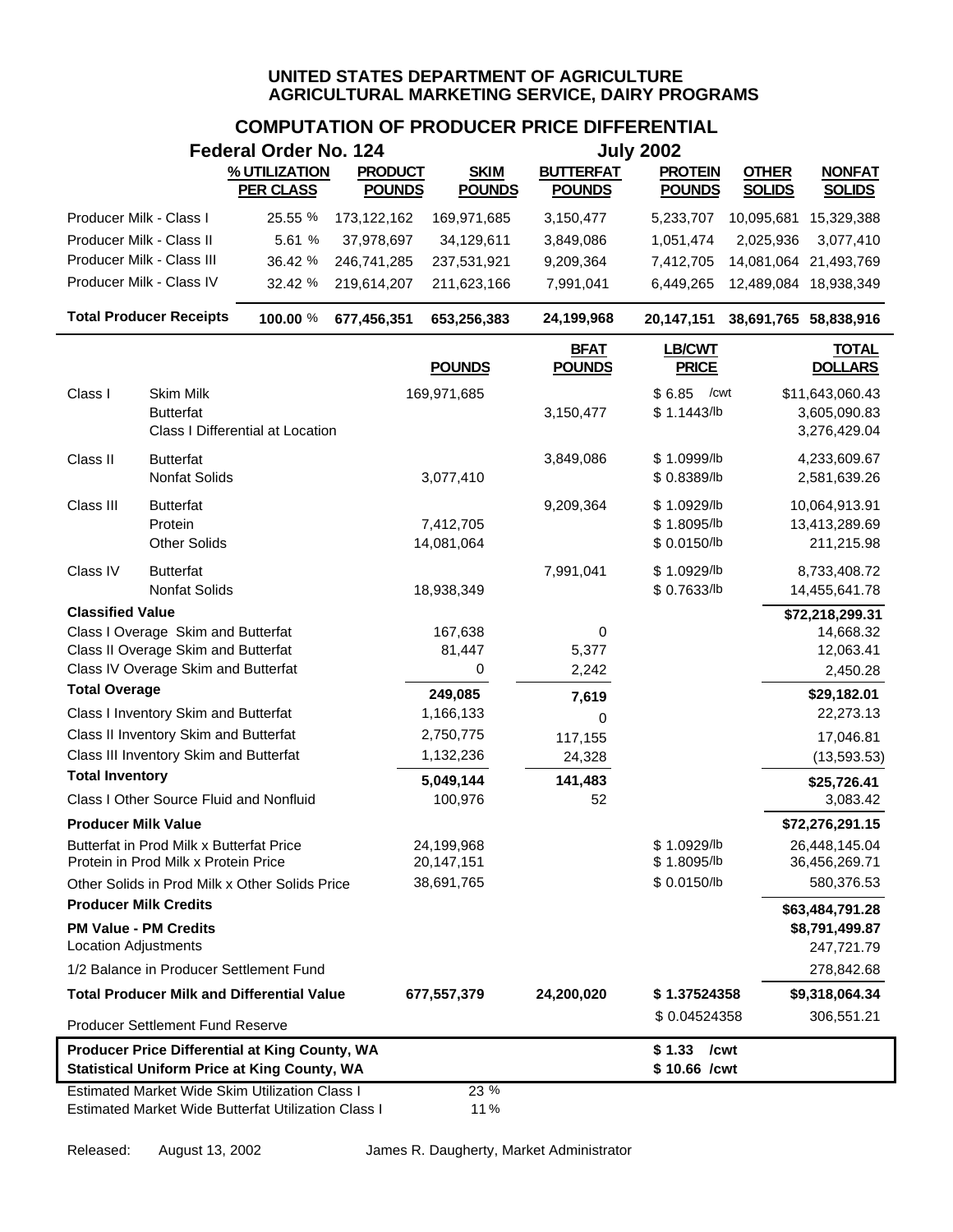|                                                             |                                                                                  | <b>Federal Order No. 124</b>                                                                                 |                                 |                              |                                   | <b>July 2002</b>                           |                               |                                                 |
|-------------------------------------------------------------|----------------------------------------------------------------------------------|--------------------------------------------------------------------------------------------------------------|---------------------------------|------------------------------|-----------------------------------|--------------------------------------------|-------------------------------|-------------------------------------------------|
|                                                             |                                                                                  | % UTILIZATION<br><b>PER CLASS</b>                                                                            | <b>PRODUCT</b><br><b>POUNDS</b> | <b>SKIM</b><br><b>POUNDS</b> | <b>BUTTERFAT</b><br><b>POUNDS</b> | <b>PROTEIN</b><br><b>POUNDS</b>            | <b>OTHER</b><br><b>SOLIDS</b> | <b>NONFAT</b><br><b>SOLIDS</b>                  |
| Producer Milk - Class I                                     |                                                                                  | 25.55 %                                                                                                      | 173,122,162                     | 169,971,685                  | 3,150,477                         | 5,233,707                                  | 10,095,681                    | 15,329,388                                      |
| Producer Milk - Class II                                    |                                                                                  | 5.61 %                                                                                                       | 37,978,697                      | 34,129,611                   | 3,849,086                         | 1,051,474                                  | 2,025,936                     | 3,077,410                                       |
|                                                             | Producer Milk - Class III                                                        | 36.42 %                                                                                                      | 246,741,285                     | 237,531,921                  | 9,209,364                         | 7,412,705                                  | 14,081,064 21,493,769         |                                                 |
|                                                             | Producer Milk - Class IV                                                         | 32.42 %                                                                                                      | 219,614,207                     | 211,623,166                  | 7,991,041                         | 6,449,265                                  | 12,489,084 18,938,349         |                                                 |
|                                                             | <b>Total Producer Receipts</b>                                                   | 100.00 %                                                                                                     | 677,456,351                     | 653,256,383                  | 24,199,968                        | 20,147,151                                 | 38,691,765 58,838,916         |                                                 |
|                                                             |                                                                                  |                                                                                                              |                                 | <b>POUNDS</b>                | <b>BFAT</b><br><b>POUNDS</b>      | <b>LB/CWT</b><br><b>PRICE</b>              |                               | <b>TOTAL</b><br><b>DOLLARS</b>                  |
| Class I                                                     | <b>Skim Milk</b><br><b>Butterfat</b>                                             | Class I Differential at Location                                                                             |                                 | 169,971,685                  | 3,150,477                         | /cwt<br>\$6.85<br>\$1.1443/b               |                               | \$11,643,060.43<br>3,605,090.83<br>3,276,429.04 |
| Class II                                                    | <b>Butterfat</b><br>Nonfat Solids                                                |                                                                                                              |                                 | 3,077,410                    | 3,849,086                         | \$1.0999/lb<br>\$ 0.8389/lb                |                               | 4,233,609.67<br>2,581,639.26                    |
| Class III                                                   | <b>Butterfat</b><br>Protein<br><b>Other Solids</b>                               |                                                                                                              |                                 | 7,412,705<br>14,081,064      | 9,209,364                         | \$1.0929/lb<br>\$1.8095/lb<br>\$ 0.0150/lb |                               | 10,064,913.91<br>13,413,289.69<br>211,215.98    |
| Class IV                                                    | <b>Butterfat</b><br>Nonfat Solids                                                |                                                                                                              |                                 | 18,938,349                   | 7,991,041                         | \$1.0929/lb<br>\$ 0.7633/lb                |                               | 8,733,408.72<br>14,455,641.78                   |
| <b>Classified Value</b>                                     |                                                                                  |                                                                                                              |                                 |                              |                                   |                                            |                               | \$72,218,299.31                                 |
|                                                             | Class I Overage Skim and Butterfat                                               |                                                                                                              |                                 | 167,638                      | 0                                 |                                            |                               | 14,668.32                                       |
|                                                             | Class II Overage Skim and Butterfat<br>Class IV Overage Skim and Butterfat       |                                                                                                              |                                 | 81,447<br>0                  | 5,377<br>2,242                    |                                            |                               | 12,063.41<br>2,450.28                           |
| <b>Total Overage</b>                                        |                                                                                  |                                                                                                              |                                 | 249,085                      | 7,619                             |                                            |                               | \$29,182.01                                     |
|                                                             | Class I Inventory Skim and Butterfat                                             |                                                                                                              |                                 | 1,166,133                    | 0                                 |                                            |                               | 22,273.13                                       |
|                                                             | Class II Inventory Skim and Butterfat                                            |                                                                                                              |                                 | 2,750,775                    | 117,155                           |                                            |                               | 17,046.81                                       |
|                                                             | Class III Inventory Skim and Butterfat                                           |                                                                                                              |                                 | 1,132,236                    | 24,328                            |                                            |                               | (13, 593.53)                                    |
| <b>Total Inventory</b>                                      |                                                                                  |                                                                                                              |                                 | 5,049,144                    | 141,483                           |                                            |                               | \$25,726.41                                     |
|                                                             | Class I Other Source Fluid and Nonfluid                                          |                                                                                                              |                                 | 100,976                      | 52                                |                                            |                               | 3,083.42                                        |
| <b>Producer Milk Value</b>                                  |                                                                                  |                                                                                                              |                                 |                              |                                   |                                            |                               | \$72,276,291.15                                 |
|                                                             | Butterfat in Prod Milk x Butterfat Price<br>Protein in Prod Milk x Protein Price |                                                                                                              |                                 | 24,199,968<br>20,147,151     |                                   | \$1.0929/lb<br>\$1.8095/lb                 |                               | 26,448,145.04<br>36,456,269.71                  |
|                                                             |                                                                                  | Other Solids in Prod Milk x Other Solids Price                                                               |                                 | 38,691,765                   |                                   | \$ 0.0150/lb                               |                               | 580,376.53                                      |
| <b>Producer Milk Credits</b><br><b>Location Adjustments</b> | <b>PM Value - PM Credits</b>                                                     |                                                                                                              |                                 |                              |                                   |                                            |                               | \$63,484,791.28<br>\$8,791,499.87<br>247,721.79 |
|                                                             |                                                                                  | 1/2 Balance in Producer Settlement Fund                                                                      |                                 |                              |                                   |                                            |                               | 278,842.68                                      |
|                                                             |                                                                                  | <b>Total Producer Milk and Differential Value</b>                                                            |                                 | 677,557,379                  | 24,200,020                        | \$1.37524358                               |                               | \$9,318,064.34                                  |
|                                                             | <b>Producer Settlement Fund Reserve</b>                                          |                                                                                                              |                                 |                              |                                   | \$0.04524358                               |                               | 306,551.21                                      |
|                                                             |                                                                                  | Producer Price Differential at King County, WA<br><b>Statistical Uniform Price at King County, WA</b>        |                                 |                              |                                   | \$1.33<br>\$10.66 /cwt                     | /cwt                          |                                                 |
|                                                             |                                                                                  | <b>Estimated Market Wide Skim Utilization Class I</b><br>Estimated Market Wide Butterfat Utilization Class I |                                 | 23 %<br>11%                  |                                   |                                            |                               |                                                 |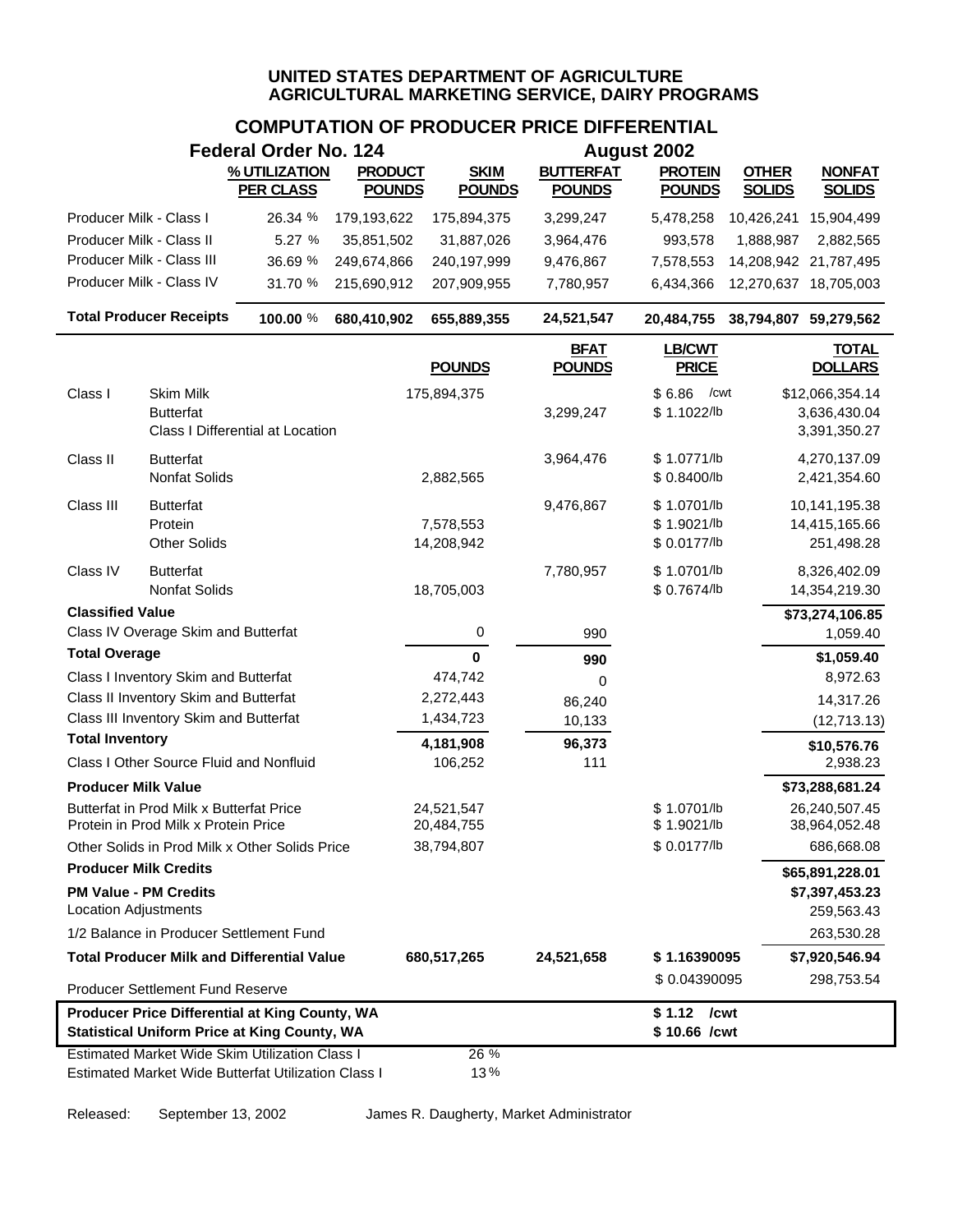# **COMPUTATION OF PRODUCER PRICE DIFFERENTIAL**

| <b>Federal Order No. 124</b><br><b>August 2002</b>                                                    |                                                                                  |                                                                                                              |                |                          |                              |                                            |                       |                                                 |
|-------------------------------------------------------------------------------------------------------|----------------------------------------------------------------------------------|--------------------------------------------------------------------------------------------------------------|----------------|--------------------------|------------------------------|--------------------------------------------|-----------------------|-------------------------------------------------|
|                                                                                                       |                                                                                  | % UTILIZATION                                                                                                | <b>PRODUCT</b> | <b>SKIM</b>              | <b>BUTTERFAT</b>             | <b>PROTEIN</b>                             | <b>OTHER</b>          | <b>NONFAT</b>                                   |
|                                                                                                       |                                                                                  | <b>PER CLASS</b>                                                                                             | <b>POUNDS</b>  | <b>POUNDS</b>            | <b>POUNDS</b>                | <b>POUNDS</b>                              | <b>SOLIDS</b>         | <b>SOLIDS</b>                                   |
| Producer Milk - Class I                                                                               |                                                                                  | 26.34 %                                                                                                      | 179,193,622    | 175,894,375              | 3,299,247                    | 5,478,258                                  | 10,426,241            | 15,904,499                                      |
| Producer Milk - Class II                                                                              |                                                                                  | 5.27 %                                                                                                       | 35,851,502     | 31,887,026               | 3,964,476                    | 993,578                                    | 1,888,987             | 2,882,565                                       |
|                                                                                                       | Producer Milk - Class III                                                        | 36.69 %                                                                                                      | 249,674,866    | 240,197,999              | 9,476,867                    | 7,578,553                                  |                       | 14,208,942 21,787,495                           |
|                                                                                                       | Producer Milk - Class IV                                                         | 31.70 %                                                                                                      | 215,690,912    | 207,909,955              | 7,780,957                    | 6,434,366                                  |                       | 12,270,637 18,705,003                           |
|                                                                                                       | <b>Total Producer Receipts</b>                                                   | 100.00 %                                                                                                     | 680,410,902    | 655,889,355              | 24,521,547                   | 20,484,755                                 | 38,794,807 59,279,562 |                                                 |
|                                                                                                       |                                                                                  |                                                                                                              |                | <b>POUNDS</b>            | <b>BFAT</b><br><b>POUNDS</b> | LB/CWT<br><b>PRICE</b>                     |                       | <b>TOTAL</b><br><b>DOLLARS</b>                  |
| Class I                                                                                               | <b>Skim Milk</b><br><b>Butterfat</b>                                             | Class I Differential at Location                                                                             |                | 175,894,375              | 3,299,247                    | \$6.86<br>/cwt<br>\$1.1022/lb              |                       | \$12,066,354.14<br>3,636,430.04<br>3,391,350.27 |
| Class II                                                                                              | <b>Butterfat</b><br>Nonfat Solids                                                |                                                                                                              |                | 2,882,565                | 3,964,476                    | \$1.0771/b<br>\$0.8400/b                   |                       | 4,270,137.09<br>2,421,354.60                    |
| Class III                                                                                             | <b>Butterfat</b><br>Protein<br><b>Other Solids</b>                               |                                                                                                              |                | 7,578,553<br>14,208,942  | 9,476,867                    | \$1.0701/lb<br>\$1.9021/lb<br>\$ 0.0177/lb |                       | 10,141,195.38<br>14,415,165.66<br>251,498.28    |
| Class IV                                                                                              | <b>Butterfat</b><br>Nonfat Solids                                                |                                                                                                              |                | 18,705,003               | 7,780,957                    | \$1.0701/b<br>\$ 0.7674/lb                 |                       | 8,326,402.09<br>14,354,219.30                   |
| <b>Classified Value</b>                                                                               |                                                                                  |                                                                                                              |                |                          |                              |                                            |                       | \$73,274,106.85                                 |
|                                                                                                       | Class IV Overage Skim and Butterfat                                              |                                                                                                              |                | 0                        | 990                          |                                            |                       | 1,059.40                                        |
| <b>Total Overage</b>                                                                                  |                                                                                  |                                                                                                              |                | $\mathbf 0$              | 990                          |                                            |                       | \$1,059.40                                      |
|                                                                                                       | Class I Inventory Skim and Butterfat                                             |                                                                                                              |                | 474,742                  | 0                            |                                            |                       | 8,972.63                                        |
|                                                                                                       | Class II Inventory Skim and Butterfat                                            |                                                                                                              |                | 2,272,443                | 86,240                       |                                            |                       | 14,317.26                                       |
| <b>Total Inventory</b>                                                                                | Class III Inventory Skim and Butterfat                                           |                                                                                                              |                | 1,434,723                | 10,133                       |                                            |                       | (12,713.13)                                     |
|                                                                                                       | Class I Other Source Fluid and Nonfluid                                          |                                                                                                              |                | 4,181,908<br>106,252     | 96,373<br>111                |                                            |                       | \$10,576.76<br>2,938.23                         |
| <b>Producer Milk Value</b>                                                                            |                                                                                  |                                                                                                              |                |                          |                              |                                            |                       | \$73,288,681.24                                 |
|                                                                                                       | Butterfat in Prod Milk x Butterfat Price<br>Protein in Prod Milk x Protein Price |                                                                                                              |                | 24,521,547<br>20,484,755 |                              | \$1.0701/lb<br>\$1.9021/lb                 |                       | 26,240,507.45<br>38,964,052.48                  |
|                                                                                                       |                                                                                  | Other Solids in Prod Milk x Other Solids Price                                                               |                | 38,794,807               |                              | \$ 0.0177/lb                               |                       | 686,668.08                                      |
| <b>Producer Milk Credits</b>                                                                          |                                                                                  |                                                                                                              |                |                          |                              |                                            |                       | \$65,891,228.01                                 |
| <b>Location Adjustments</b>                                                                           | <b>PM Value - PM Credits</b>                                                     |                                                                                                              |                |                          |                              |                                            |                       | \$7,397,453.23<br>259,563.43                    |
|                                                                                                       |                                                                                  | 1/2 Balance in Producer Settlement Fund                                                                      |                |                          |                              |                                            |                       | 263,530.28                                      |
|                                                                                                       |                                                                                  | <b>Total Producer Milk and Differential Value</b>                                                            |                | 680,517,265              | 24,521,658                   | \$1.16390095                               |                       | \$7,920,546.94                                  |
|                                                                                                       | <b>Producer Settlement Fund Reserve</b>                                          |                                                                                                              |                |                          |                              | \$0.04390095                               |                       | 298,753.54                                      |
|                                                                                                       |                                                                                  |                                                                                                              |                |                          |                              | \$1.12 / cwt                               |                       |                                                 |
| Producer Price Differential at King County, WA<br><b>Statistical Uniform Price at King County, WA</b> |                                                                                  |                                                                                                              |                |                          |                              | \$10.66 /cwt                               |                       |                                                 |
|                                                                                                       |                                                                                  | <b>Estimated Market Wide Skim Utilization Class I</b><br>Estimated Market Wide Butterfat Utilization Class I |                | 26 %<br>13%              |                              |                                            |                       |                                                 |

Released: September 13, 2002 James R. Daugherty, Market Administrator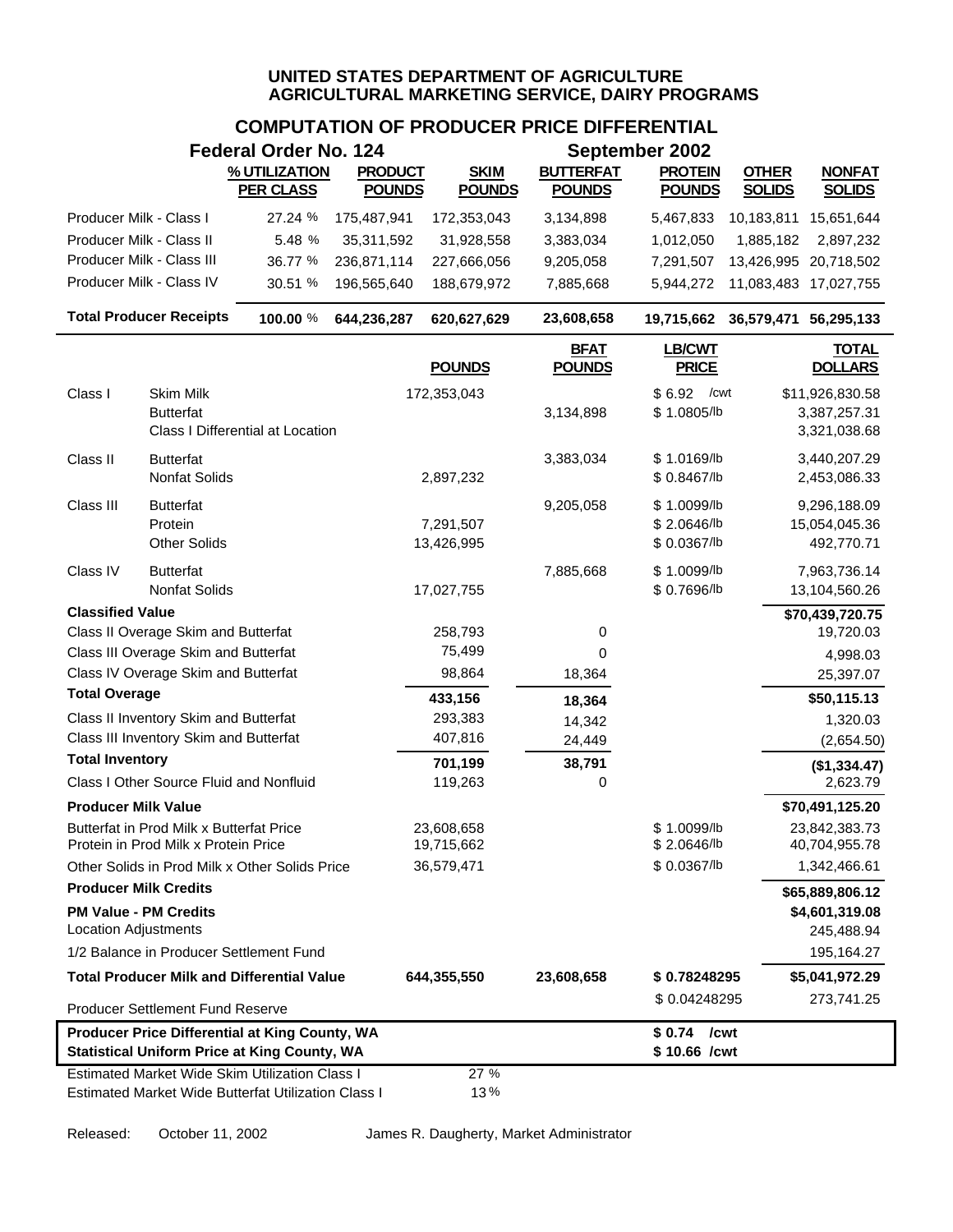# **COMPUTATION OF PRODUCER PRICE DIFFERENTIAL**

|                                                             |                                                                                  | <b>Federal Order No. 124</b>                                                                                 |                                 | September 2002               |                                   |                                           |                               |                                                 |  |
|-------------------------------------------------------------|----------------------------------------------------------------------------------|--------------------------------------------------------------------------------------------------------------|---------------------------------|------------------------------|-----------------------------------|-------------------------------------------|-------------------------------|-------------------------------------------------|--|
|                                                             |                                                                                  | % UTILIZATION<br><b>PER CLASS</b>                                                                            | <b>PRODUCT</b><br><b>POUNDS</b> | <b>SKIM</b><br><b>POUNDS</b> | <b>BUTTERFAT</b><br><b>POUNDS</b> | <b>PROTEIN</b><br><b>POUNDS</b>           | <b>OTHER</b><br><b>SOLIDS</b> | <b>NONFAT</b><br><b>SOLIDS</b>                  |  |
| Producer Milk - Class I                                     |                                                                                  | 27.24 %                                                                                                      | 175,487,941                     | 172,353,043                  | 3,134,898                         | 5,467,833                                 | 10,183,811                    | 15,651,644                                      |  |
| Producer Milk - Class II                                    |                                                                                  | 5.48 %                                                                                                       | 35,311,592                      | 31,928,558                   | 3,383,034                         | 1,012,050                                 | 1,885,182                     | 2,897,232                                       |  |
|                                                             | Producer Milk - Class III                                                        | 36.77 %                                                                                                      | 236,871,114                     | 227,666,056                  | 9,205,058                         | 7,291,507                                 | 13,426,995                    | 20,718,502                                      |  |
|                                                             | Producer Milk - Class IV                                                         | 30.51 %                                                                                                      | 196,565,640                     | 188,679,972                  | 7,885,668                         | 5,944,272                                 | 11,083,483                    | 17,027,755                                      |  |
|                                                             | <b>Total Producer Receipts</b>                                                   | 100.00 %                                                                                                     | 644,236,287                     | 620,627,629                  | 23,608,658                        | 19,715,662                                | 36,579,471 56,295,133         |                                                 |  |
|                                                             |                                                                                  |                                                                                                              |                                 | <b>POUNDS</b>                | <b>BFAT</b><br><b>POUNDS</b>      | <b>LB/CWT</b><br><b>PRICE</b>             |                               | <b>TOTAL</b><br><b>DOLLARS</b>                  |  |
| Class I                                                     | <b>Skim Milk</b><br><b>Butterfat</b>                                             | <b>Class I Differential at Location</b>                                                                      |                                 | 172,353,043                  | 3,134,898                         | $$6.92$ / cwt<br>\$1.0805/lb              |                               | \$11,926,830.58<br>3,387,257.31<br>3,321,038.68 |  |
| Class II                                                    | <b>Butterfat</b><br>Nonfat Solids                                                |                                                                                                              |                                 | 2,897,232                    | 3,383,034                         | \$1.0169/b<br>\$0.8467/lb                 |                               | 3,440,207.29<br>2,453,086.33                    |  |
| Class III                                                   | <b>Butterfat</b><br>Protein<br><b>Other Solids</b>                               |                                                                                                              |                                 | 7,291,507<br>13,426,995      | 9,205,058                         | \$1.0099/lb<br>\$2.0646/b<br>\$ 0.0367/lb |                               | 9,296,188.09<br>15,054,045.36<br>492,770.71     |  |
| Class IV                                                    | <b>Butterfat</b><br><b>Nonfat Solids</b>                                         |                                                                                                              |                                 | 17,027,755                   | 7,885,668                         | \$1.0099/b<br>\$0.7696/lb                 |                               | 7,963,736.14<br>13,104,560.26                   |  |
| <b>Classified Value</b>                                     |                                                                                  |                                                                                                              |                                 |                              |                                   |                                           |                               | \$70,439,720.75                                 |  |
|                                                             | Class II Overage Skim and Butterfat                                              |                                                                                                              |                                 | 258,793                      | 0                                 |                                           |                               | 19,720.03                                       |  |
|                                                             | Class III Overage Skim and Butterfat<br>Class IV Overage Skim and Butterfat      |                                                                                                              |                                 | 75,499<br>98,864             | 0                                 |                                           |                               | 4,998.03                                        |  |
| <b>Total Overage</b>                                        |                                                                                  |                                                                                                              |                                 |                              | 18,364                            |                                           |                               | 25,397.07                                       |  |
|                                                             | Class II Inventory Skim and Butterfat                                            |                                                                                                              |                                 | 433,156<br>293,383           | 18,364<br>14,342                  |                                           |                               | \$50,115.13<br>1,320.03                         |  |
|                                                             | Class III Inventory Skim and Butterfat                                           |                                                                                                              |                                 | 407,816                      | 24,449                            |                                           |                               | (2,654.50)                                      |  |
| <b>Total Inventory</b>                                      |                                                                                  |                                                                                                              |                                 | 701,199                      | 38,791                            |                                           |                               | (\$1,334.47)                                    |  |
|                                                             | Class I Other Source Fluid and Nonfluid                                          |                                                                                                              |                                 | 119,263                      | 0                                 |                                           |                               | 2,623.79                                        |  |
| <b>Producer Milk Value</b>                                  |                                                                                  |                                                                                                              |                                 |                              |                                   |                                           |                               | \$70,491,125.20                                 |  |
|                                                             | Butterfat in Prod Milk x Butterfat Price<br>Protein in Prod Milk x Protein Price |                                                                                                              |                                 | 23,608,658<br>19,715,662     |                                   | \$1.0099/b<br>\$2.0646/lb                 |                               | 23,842,383.73<br>40,704,955.78                  |  |
|                                                             |                                                                                  | Other Solids in Prod Milk x Other Solids Price                                                               |                                 | 36,579,471                   |                                   | \$0.0367/lb                               |                               | 1,342,466.61                                    |  |
| <b>Producer Milk Credits</b>                                |                                                                                  |                                                                                                              |                                 |                              |                                   |                                           |                               | \$65,889,806.12                                 |  |
| <b>PM Value - PM Credits</b><br><b>Location Adjustments</b> |                                                                                  |                                                                                                              |                                 |                              |                                   |                                           |                               | \$4,601,319.08<br>245,488.94                    |  |
|                                                             |                                                                                  | 1/2 Balance in Producer Settlement Fund                                                                      |                                 |                              |                                   |                                           |                               | 195,164.27                                      |  |
|                                                             |                                                                                  | <b>Total Producer Milk and Differential Value</b>                                                            |                                 | 644,355,550                  | 23,608,658                        | \$0.78248295                              |                               | \$5,041,972.29                                  |  |
|                                                             | Producer Settlement Fund Reserve                                                 |                                                                                                              |                                 |                              |                                   | \$0.04248295                              |                               | 273,741.25                                      |  |
|                                                             |                                                                                  | Producer Price Differential at King County, WA<br><b>Statistical Uniform Price at King County, WA</b>        |                                 |                              |                                   | $$0.74$ /cwt<br>\$10.66 /cwt              |                               |                                                 |  |
|                                                             |                                                                                  | <b>Estimated Market Wide Skim Utilization Class I</b><br>Estimated Market Wide Butterfat Utilization Class I |                                 | 27%<br>13%                   |                                   |                                           |                               |                                                 |  |

Released: October 11, 2002 James R. Daugherty, Market Administrator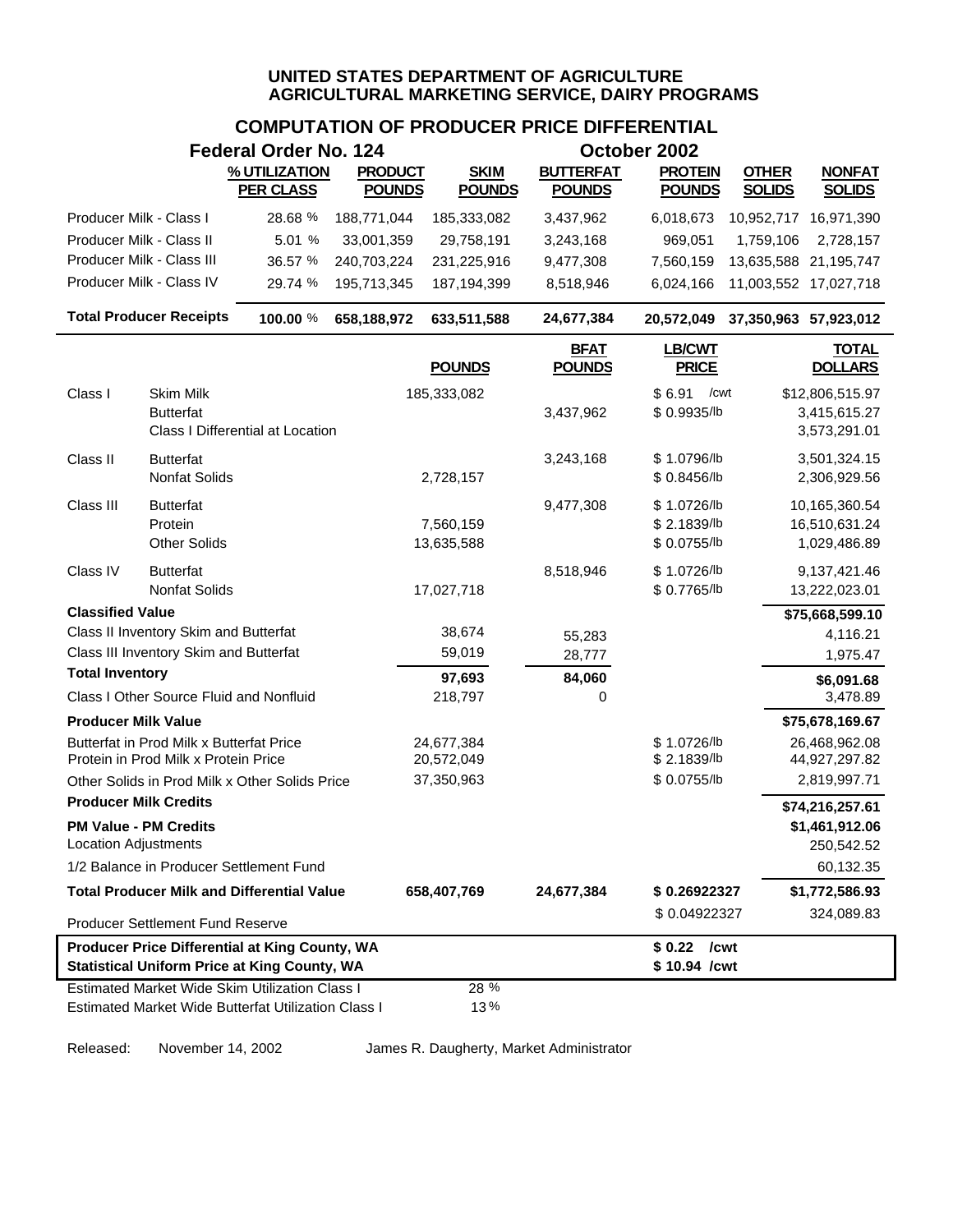# **COMPUTATION OF PRODUCER PRICE DIFFERENTIAL**

|                                                                                                       |                                                             | <b>Federal Order No. 124</b> |                |               |                              | October 2002                  |                                  |
|-------------------------------------------------------------------------------------------------------|-------------------------------------------------------------|------------------------------|----------------|---------------|------------------------------|-------------------------------|----------------------------------|
|                                                                                                       |                                                             | % UTILIZATION                | <b>PRODUCT</b> | <b>SKIM</b>   | <b>BUTTERFAT</b>             | <b>PROTEIN</b>                | <b>OTHER</b><br><b>NONFAT</b>    |
|                                                                                                       |                                                             | <b>PER CLASS</b>             | <b>POUNDS</b>  | <b>POUNDS</b> | <b>POUNDS</b>                | <b>POUNDS</b>                 | <b>SOLIDS</b><br><b>SOLIDS</b>   |
| Producer Milk - Class I                                                                               |                                                             | 28.68 %                      | 188,771,044    | 185,333,082   | 3,437,962                    | 6,018,673                     | 10,952,717 16,971,390            |
| Producer Milk - Class II                                                                              |                                                             | 5.01 %                       | 33,001,359     | 29,758,191    | 3,243,168                    | 969,051                       | 1,759,106<br>2,728,157           |
|                                                                                                       | Producer Milk - Class III                                   | 36.57 %                      | 240,703,224    | 231,225,916   | 9,477,308                    | 7,560,159                     | 13,635,588 21,195,747            |
|                                                                                                       | Producer Milk - Class IV                                    | 29.74 %                      | 195,713,345    | 187, 194, 399 | 8,518,946                    | 6,024,166                     | 11,003,552 17,027,718            |
|                                                                                                       | <b>Total Producer Receipts</b>                              | 100.00 %                     | 658,188,972    | 633,511,588   | 24,677,384                   | 20,572,049                    | 37,350,963 57,923,012            |
|                                                                                                       |                                                             |                              |                | <b>POUNDS</b> | <b>BFAT</b><br><b>POUNDS</b> | <b>LB/CWT</b><br><b>PRICE</b> | <b>TOTAL</b><br><b>DOLLARS</b>   |
| Class I                                                                                               | <b>Skim Milk</b>                                            |                              |                | 185,333,082   |                              | \$6.91<br>/cwt                | \$12,806,515.97                  |
|                                                                                                       | <b>Butterfat</b><br><b>Class I Differential at Location</b> |                              |                |               | 3,437,962                    | \$ 0.9935/lb                  | 3,415,615.27<br>3,573,291.01     |
| Class II                                                                                              | <b>Butterfat</b>                                            |                              |                |               | 3,243,168                    | \$1.0796/lb                   | 3,501,324.15                     |
|                                                                                                       | Nonfat Solids                                               |                              |                | 2,728,157     |                              | \$ 0.8456/lb                  | 2,306,929.56                     |
| Class III                                                                                             | <b>Butterfat</b><br>Protein                                 |                              |                | 7,560,159     | 9,477,308                    | \$1.0726/lb<br>\$2.1839/lb    | 10,165,360.54<br>16,510,631.24   |
|                                                                                                       | <b>Other Solids</b>                                         |                              |                | 13,635,588    |                              | \$ 0.0755/lb                  | 1,029,486.89                     |
| Class IV                                                                                              | <b>Butterfat</b>                                            |                              |                |               | 8,518,946                    | \$1.0726/lb                   | 9,137,421.46                     |
|                                                                                                       | Nonfat Solids                                               |                              |                | 17,027,718    |                              | \$ 0.7765/lb                  | 13,222,023.01                    |
| <b>Classified Value</b>                                                                               |                                                             |                              |                |               |                              |                               | \$75,668,599.10                  |
|                                                                                                       | Class II Inventory Skim and Butterfat                       |                              |                | 38,674        | 55,283                       |                               | 4,116.21                         |
|                                                                                                       | Class III Inventory Skim and Butterfat                      |                              |                | 59,019        | 28,777                       |                               | 1,975.47                         |
| <b>Total Inventory</b>                                                                                |                                                             |                              |                | 97,693        | 84,060                       |                               | \$6,091.68                       |
| <b>Producer Milk Value</b>                                                                            | Class I Other Source Fluid and Nonfluid                     |                              |                | 218,797       | 0                            |                               | 3,478.89                         |
|                                                                                                       | Butterfat in Prod Milk x Butterfat Price                    |                              |                | 24,677,384    |                              | \$1.0726/lb                   | \$75,678,169.67<br>26,468,962.08 |
|                                                                                                       | Protein in Prod Milk x Protein Price                        |                              |                | 20,572,049    |                              | \$2.1839/lb                   | 44,927,297.82                    |
|                                                                                                       | Other Solids in Prod Milk x Other Solids Price              |                              |                | 37,350,963    |                              | \$ 0.0755/lb                  | 2,819,997.71                     |
| <b>Producer Milk Credits</b>                                                                          |                                                             |                              |                |               |                              |                               | \$74,216,257.61                  |
| <b>Location Adjustments</b>                                                                           | <b>PM Value - PM Credits</b>                                |                              |                |               |                              |                               | \$1,461,912.06<br>250,542.52     |
|                                                                                                       | 1/2 Balance in Producer Settlement Fund                     |                              |                |               |                              |                               | 60,132.35                        |
|                                                                                                       | <b>Total Producer Milk and Differential Value</b>           |                              |                | 658,407,769   | 24,677,384                   | \$0.26922327                  | \$1,772,586.93                   |
|                                                                                                       | Producer Settlement Fund Reserve                            |                              |                |               |                              | \$0.04922327                  | 324,089.83                       |
| Producer Price Differential at King County, WA<br><b>Statistical Uniform Price at King County, WA</b> |                                                             |                              |                |               |                              | \$0.22 / cwt<br>\$10.94 /cwt  |                                  |
|                                                                                                       | <b>Estimated Market Wide Skim Utilization Class I</b>       |                              |                | 28 %          |                              |                               |                                  |
|                                                                                                       | Estimated Market Wide Butterfat Utilization Class I         |                              |                | 13%           |                              |                               |                                  |

Released: November 14, 2002 James R. Daugherty, Market Administrator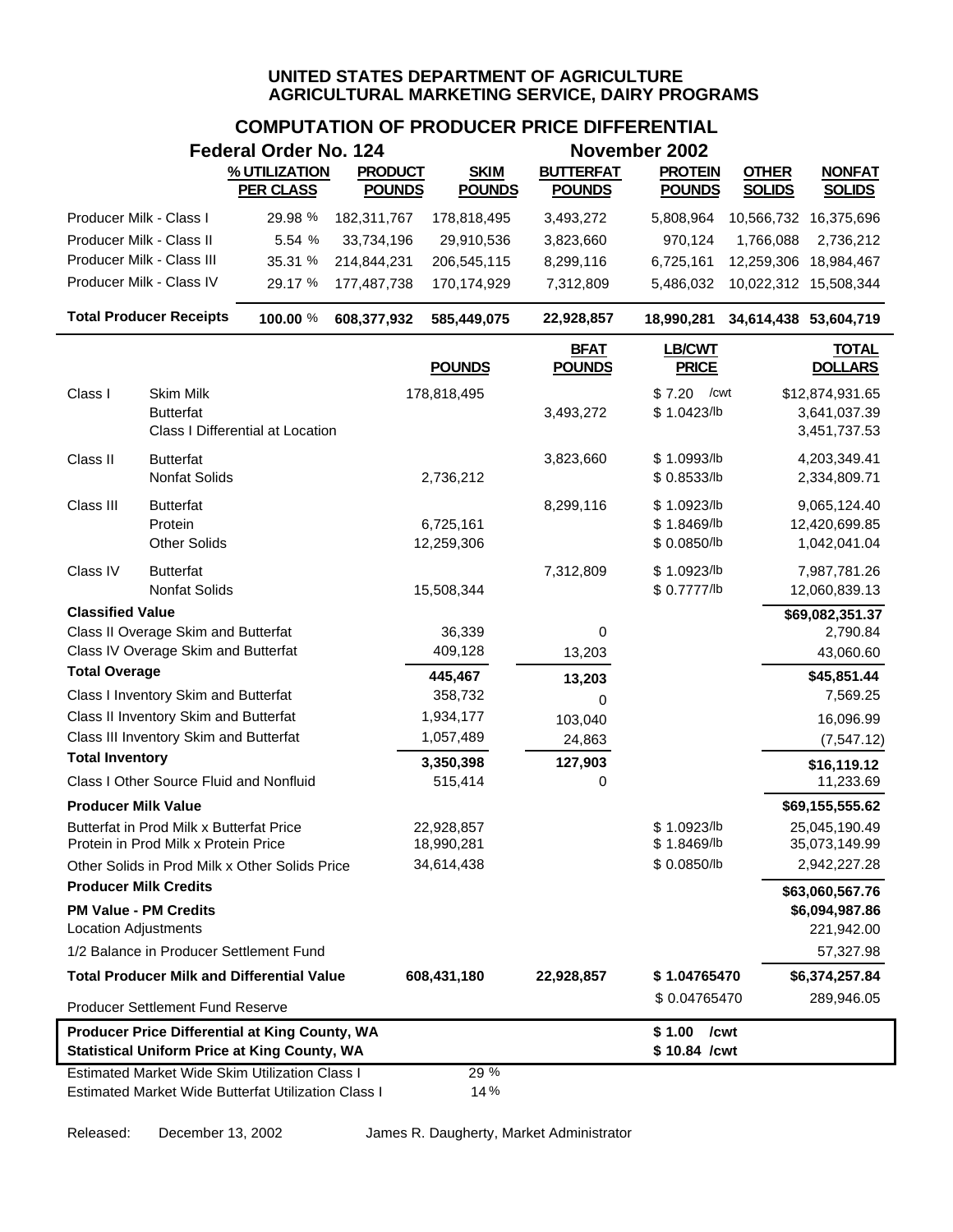## **COMPUTATION OF PRODUCER PRICE DIFFERENTIAL**

|                              |                                                                                  | Federal Order No. 124                                                                                        |                                 |                              |                                   | November 2002                              |                               |                                                 |
|------------------------------|----------------------------------------------------------------------------------|--------------------------------------------------------------------------------------------------------------|---------------------------------|------------------------------|-----------------------------------|--------------------------------------------|-------------------------------|-------------------------------------------------|
|                              |                                                                                  | % UTILIZATION<br><b>PER CLASS</b>                                                                            | <b>PRODUCT</b><br><b>POUNDS</b> | <b>SKIM</b><br><b>POUNDS</b> | <b>BUTTERFAT</b><br><b>POUNDS</b> | <b>PROTEIN</b><br><b>POUNDS</b>            | <b>OTHER</b><br><b>SOLIDS</b> | <b>NONFAT</b><br><b>SOLIDS</b>                  |
| Producer Milk - Class I      |                                                                                  | 29.98 %                                                                                                      | 182,311,767                     | 178,818,495                  | 3,493,272                         | 5,808,964                                  | 10,566,732 16,375,696         |                                                 |
| Producer Milk - Class II     |                                                                                  | 5.54 %                                                                                                       | 33,734,196                      | 29,910,536                   | 3,823,660                         | 970,124                                    | 1,766,088                     | 2,736,212                                       |
|                              | Producer Milk - Class III                                                        | 35.31 %                                                                                                      | 214,844,231                     | 206,545,115                  | 8,299,116                         | 6,725,161                                  | 12,259,306                    | 18,984,467                                      |
|                              | Producer Milk - Class IV                                                         | 29.17 %                                                                                                      | 177,487,738                     | 170,174,929                  | 7,312,809                         | 5,486,032                                  | 10,022,312 15,508,344         |                                                 |
|                              | <b>Total Producer Receipts</b>                                                   | 100.00 %                                                                                                     | 608,377,932                     | 585,449,075                  | 22,928,857                        | 18,990,281                                 | 34,614,438 53,604,719         |                                                 |
|                              |                                                                                  |                                                                                                              |                                 | <b>POUNDS</b>                | <b>BFAT</b><br><b>POUNDS</b>      | <b>LB/CWT</b><br><b>PRICE</b>              |                               | <b>TOTAL</b><br><b>DOLLARS</b>                  |
| Class I                      | Skim Milk<br><b>Butterfat</b>                                                    | Class I Differential at Location                                                                             |                                 | 178,818,495                  | 3,493,272                         | \$7.20<br>/cwt<br>\$1.0423/lb              |                               | \$12,874,931.65<br>3,641,037.39<br>3,451,737.53 |
| Class II                     | <b>Butterfat</b><br><b>Nonfat Solids</b>                                         |                                                                                                              |                                 | 2,736,212                    | 3,823,660                         | \$1.0993/lb<br>\$ 0.8533/lb                |                               | 4,203,349.41<br>2,334,809.71                    |
| Class III                    | <b>Butterfat</b><br>Protein<br><b>Other Solids</b>                               |                                                                                                              |                                 | 6,725,161<br>12,259,306      | 8,299,116                         | \$1.0923/lb<br>\$1.8469/lb<br>\$ 0.0850/lb |                               | 9,065,124.40<br>12,420,699.85<br>1,042,041.04   |
| Class IV                     | <b>Butterfat</b><br><b>Nonfat Solids</b>                                         |                                                                                                              |                                 | 15,508,344                   | 7,312,809                         | \$1.0923/lb<br>\$ 0.7777/lb                |                               | 7,987,781.26<br>12,060,839.13                   |
| <b>Classified Value</b>      |                                                                                  |                                                                                                              |                                 |                              |                                   |                                            |                               | \$69,082,351.37                                 |
|                              | Class II Overage Skim and Butterfat<br>Class IV Overage Skim and Butterfat       |                                                                                                              |                                 | 36,339<br>409,128            | 0<br>13,203                       |                                            |                               | 2,790.84<br>43,060.60                           |
| <b>Total Overage</b>         |                                                                                  |                                                                                                              |                                 | 445,467                      | 13,203                            |                                            |                               | \$45,851.44                                     |
|                              | Class I Inventory Skim and Butterfat                                             |                                                                                                              |                                 | 358,732                      | 0                                 |                                            |                               | 7,569.25                                        |
|                              | Class II Inventory Skim and Butterfat                                            |                                                                                                              |                                 | 1,934,177                    | 103,040                           |                                            |                               | 16,096.99                                       |
|                              | Class III Inventory Skim and Butterfat                                           |                                                                                                              |                                 | 1,057,489                    | 24,863                            |                                            |                               | (7, 547.12)                                     |
| <b>Total Inventory</b>       | Class I Other Source Fluid and Nonfluid                                          |                                                                                                              |                                 | 3,350,398<br>515,414         | 127,903<br>0                      |                                            |                               | \$16,119.12<br>11,233.69                        |
| <b>Producer Milk Value</b>   |                                                                                  |                                                                                                              |                                 |                              |                                   |                                            |                               | \$69,155,555.62                                 |
|                              | Butterfat in Prod Milk x Butterfat Price<br>Protein in Prod Milk x Protein Price |                                                                                                              |                                 | 22,928,857<br>18,990,281     |                                   | \$1.0923/lb<br>\$1.8469/lb                 |                               | 25,045,190.49<br>35,073,149.99                  |
|                              |                                                                                  | Other Solids in Prod Milk x Other Solids Price                                                               |                                 | 34,614,438                   |                                   | \$0.0850/b                                 |                               | 2,942,227.28                                    |
| <b>Producer Milk Credits</b> |                                                                                  |                                                                                                              |                                 |                              |                                   |                                            |                               | \$63,060,567.76                                 |
| Location Adjustments         | <b>PM Value - PM Credits</b>                                                     |                                                                                                              |                                 |                              |                                   |                                            |                               | \$6,094,987.86<br>221,942.00                    |
|                              |                                                                                  | 1/2 Balance in Producer Settlement Fund                                                                      |                                 |                              |                                   |                                            |                               | 57,327.98                                       |
|                              |                                                                                  | <b>Total Producer Milk and Differential Value</b>                                                            |                                 | 608,431,180                  | 22,928,857                        | \$1.04765470                               |                               | \$6,374,257.84                                  |
|                              | Producer Settlement Fund Reserve                                                 |                                                                                                              |                                 |                              |                                   | \$0.04765470                               |                               | 289,946.05                                      |
|                              |                                                                                  | Producer Price Differential at King County, WA<br><b>Statistical Uniform Price at King County, WA</b>        |                                 |                              |                                   | \$1.00<br>/cwt<br>\$10.84 /cwt             |                               |                                                 |
|                              |                                                                                  | <b>Estimated Market Wide Skim Utilization Class I</b><br>Estimated Market Wide Butterfat Utilization Class I |                                 | 29 %<br>14%                  |                                   |                                            |                               |                                                 |

Released: December 13, 2002 James R. Daugherty, Market Administrator